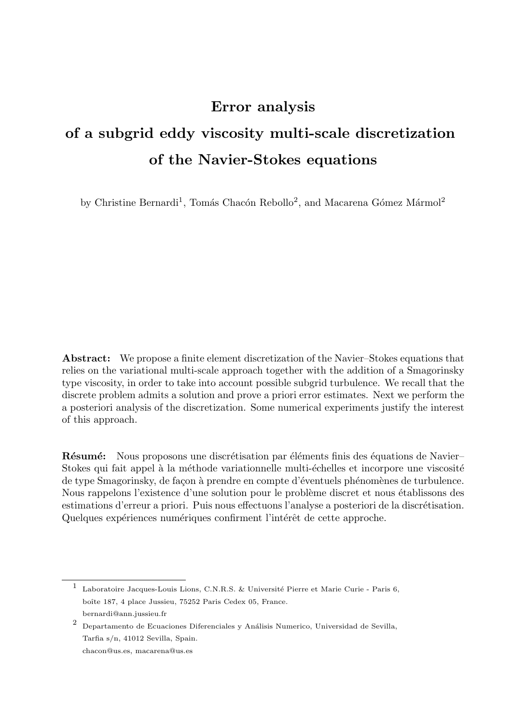# Error analysis

# of a subgrid eddy viscosity multi-scale discretization of the Navier-Stokes equations

by Christine Bernardi<sup>1</sup>, Tomás Chacón Rebollo<sup>2</sup>, and Macarena Gómez Mármol<sup>2</sup>

Abstract: We propose a finite element discretization of the Navier–Stokes equations that relies on the variational multi-scale approach together with the addition of a Smagorinsky type viscosity, in order to take into account possible subgrid turbulence. We recall that the discrete problem admits a solution and prove a priori error estimates. Next we perform the a posteriori analysis of the discretization. Some numerical experiments justify the interest of this approach.

**Résumé:** Nous proposons une discrétisation par éléments finis des équations de Navier– Stokes qui fait appel à la méthode variationnelle multi-échelles et incorpore une viscosité de type Smagorinsky, de façon à prendre en compte d'éventuels phénomènes de turbulence. Nous rappelons l'existence d'une solution pour le problème discret et nous établissons des estimations d'erreur a priori. Puis nous effectuons l'analyse a posteriori de la discrétisation. Quelques expériences numériques confirment l'intérêt de cette approche.

<sup>&</sup>lt;sup>1</sup> Laboratoire Jacques-Louis Lions, C.N.R.S. & Université Pierre et Marie Curie - Paris 6, boîte 187, 4 place Jussieu, 75252 Paris Cedex 05, France. bernardi@ann.jussieu.fr

 $^{\rm 2}$  Departamento de Ecuaciones Diferenciales y Análisis Numerico, Universidad de Sevilla, Tarfia s/n, 41012 Sevilla, Spain.

chacon@us.es, macarena@us.es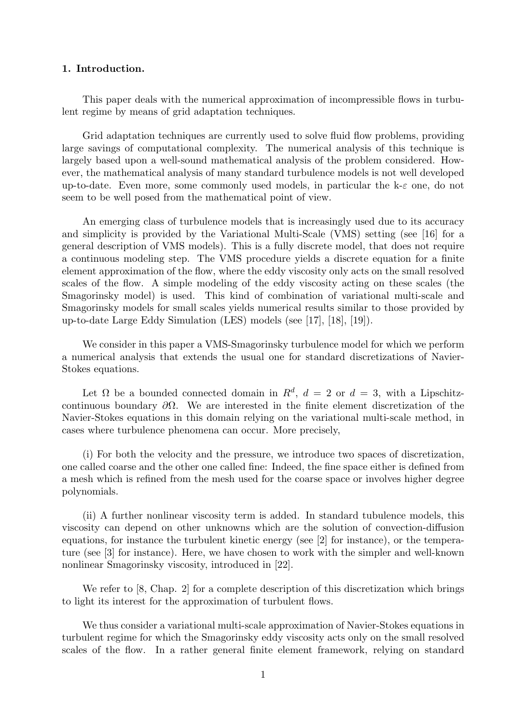# 1. Introduction.

This paper deals with the numerical approximation of incompressible flows in turbulent regime by means of grid adaptation techniques.

Grid adaptation techniques are currently used to solve fluid flow problems, providing large savings of computational complexity. The numerical analysis of this technique is largely based upon a well-sound mathematical analysis of the problem considered. However, the mathematical analysis of many standard turbulence models is not well developed up-to-date. Even more, some commonly used models, in particular the  $k-\varepsilon$  one, do not seem to be well posed from the mathematical point of view.

An emerging class of turbulence models that is increasingly used due to its accuracy and simplicity is provided by the Variational Multi-Scale (VMS) setting (see [16] for a general description of VMS models). This is a fully discrete model, that does not require a continuous modeling step. The VMS procedure yields a discrete equation for a finite element approximation of the flow, where the eddy viscosity only acts on the small resolved scales of the flow. A simple modeling of the eddy viscosity acting on these scales (the Smagorinsky model) is used. This kind of combination of variational multi-scale and Smagorinsky models for small scales yields numerical results similar to those provided by up-to-date Large Eddy Simulation (LES) models (see [17], [18], [19]).

We consider in this paper a VMS-Smagorinsky turbulence model for which we perform a numerical analysis that extends the usual one for standard discretizations of Navier-Stokes equations.

Let  $\Omega$  be a bounded connected domain in  $R^d$ ,  $d = 2$  or  $d = 3$ , with a Lipschitzcontinuous boundary  $\partial\Omega$ . We are interested in the finite element discretization of the Navier-Stokes equations in this domain relying on the variational multi-scale method, in cases where turbulence phenomena can occur. More precisely,

(i) For both the velocity and the pressure, we introduce two spaces of discretization, one called coarse and the other one called fine: Indeed, the fine space either is defined from a mesh which is refined from the mesh used for the coarse space or involves higher degree polynomials.

(ii) A further nonlinear viscosity term is added. In standard tubulence models, this viscosity can depend on other unknowns which are the solution of convection-diffusion equations, for instance the turbulent kinetic energy (see [2] for instance), or the temperature (see [3] for instance). Here, we have chosen to work with the simpler and well-known nonlinear Smagorinsky viscosity, introduced in [22].

We refer to [8, Chap. 2] for a complete description of this discretization which brings to light its interest for the approximation of turbulent flows.

We thus consider a variational multi-scale approximation of Navier-Stokes equations in turbulent regime for which the Smagorinsky eddy viscosity acts only on the small resolved scales of the flow. In a rather general finite element framework, relying on standard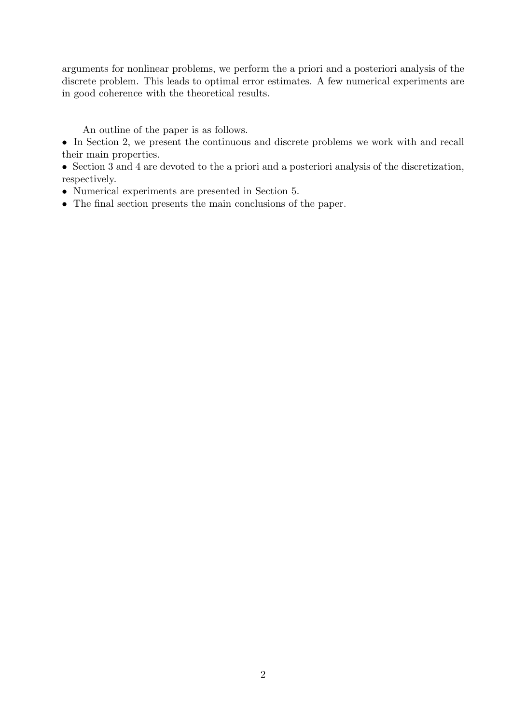arguments for nonlinear problems, we perform the a priori and a posteriori analysis of the discrete problem. This leads to optimal error estimates. A few numerical experiments are in good coherence with the theoretical results.

An outline of the paper is as follows.

• In Section 2, we present the continuous and discrete problems we work with and recall their main properties.

• Section 3 and 4 are devoted to the a priori and a posteriori analysis of the discretization, respectively.

- Numerical experiments are presented in Section 5.
- The final section presents the main conclusions of the paper.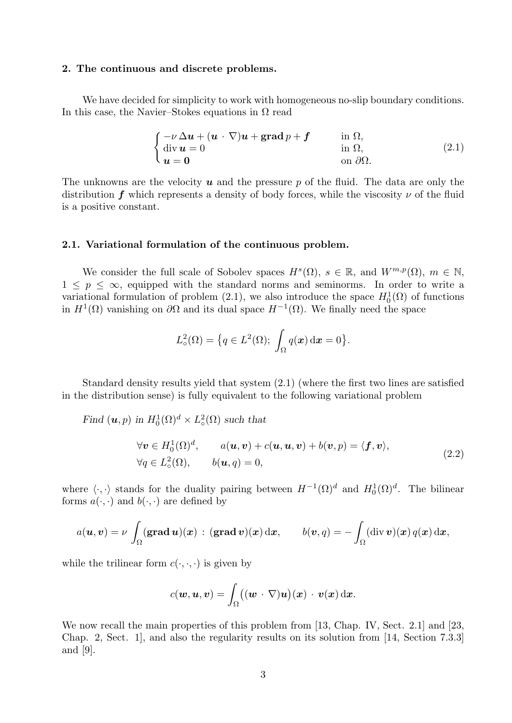### 2. The continuous and discrete problems.

We have decided for simplicity to work with homogeneous no-slip boundary conditions. In this case, the Navier–Stokes equations in  $\Omega$  read

$$
\begin{cases}\n-\nu \Delta u + (u \cdot \nabla)u + \operatorname{grad} p + f & \text{in } \Omega, \\
\operatorname{div} u = 0 & \text{in } \Omega, \\
u = 0 & \text{on } \partial \Omega.\n\end{cases}
$$
\n(2.1)

The unknowns are the velocity  $u$  and the pressure p of the fluid. The data are only the distribution f which represents a density of body forces, while the viscosity  $\nu$  of the fluid is a positive constant.

#### 2.1. Variational formulation of the continuous problem.

We consider the full scale of Sobolev spaces  $H^s(\Omega)$ ,  $s \in \mathbb{R}$ , and  $W^{m,p}(\Omega)$ ,  $m \in \mathbb{N}$ ,  $1 \leq p \leq \infty$ , equipped with the standard norms and seminorms. In order to write a variational formulation of problem (2.1), we also introduce the space  $H_0^1(\Omega)$  of functions in  $H^1(\Omega)$  vanishing on  $\partial\Omega$  and its dual space  $H^{-1}(\Omega)$ . We finally need the space

$$
L^2_{\circ}(\Omega) = \big\{ q \in L^2(\Omega); \int_{\Omega} q(x) \, \mathrm{d}x = 0 \big\}.
$$

Standard density results yield that system (2.1) (where the first two lines are satisfied in the distribution sense) is fully equivalent to the following variational problem

Find  $(\boldsymbol{u}, p)$  in  $H_0^1(\Omega)^d \times L^2_{\circ}(\Omega)$  such that

$$
\forall \mathbf{v} \in H_0^1(\Omega)^d, \qquad a(\mathbf{u}, \mathbf{v}) + c(\mathbf{u}, \mathbf{u}, \mathbf{v}) + b(\mathbf{v}, p) = \langle \mathbf{f}, \mathbf{v} \rangle, \n\forall q \in L_0^2(\Omega), \qquad b(\mathbf{u}, q) = 0,
$$
\n(2.2)

where  $\langle \cdot, \cdot \rangle$  stands for the duality pairing between  $H^{-1}(\Omega)^d$  and  $H_0^1(\Omega)^d$ . The bilinear forms  $a(\cdot, \cdot)$  and  $b(\cdot, \cdot)$  are defined by

$$
a(\boldsymbol{u},\boldsymbol{v})=\nu\,\int_{\Omega}(\mathbf{grad}\,\boldsymbol{u})(\boldsymbol{x})\,:\,(\mathbf{grad}\,\boldsymbol{v})(\boldsymbol{x})\,\mathrm{d}\boldsymbol{x},\qquad b(\boldsymbol{v},q)=-\int_{\Omega}(\mathrm{div}\,\boldsymbol{v})(\boldsymbol{x})\,q(\boldsymbol{x})\,\mathrm{d}\boldsymbol{x},
$$

while the trilinear form  $c(\cdot, \cdot, \cdot)$  is given by

$$
c(\boldsymbol{w},\boldsymbol{u},\boldsymbol{v})=\int_\Omega \bigl((\boldsymbol{w} \,\cdot\, \nabla)\boldsymbol{u}\bigr)(\boldsymbol{x})\,\cdot\, \boldsymbol{v}(\boldsymbol{x})\,\mathrm{d}\boldsymbol{x}.
$$

We now recall the main properties of this problem from [13, Chap. IV, Sect. 2.1] and [23, Chap. 2, Sect. 1], and also the regularity results on its solution from [14, Section 7.3.3] and [9].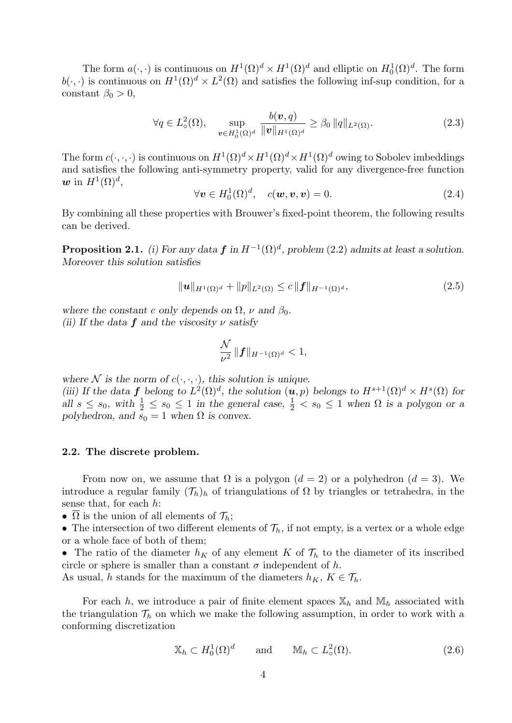The form  $a(\cdot, \cdot)$  is continuous on  $H^1(\Omega)^d \times H^1(\Omega)^d$  and elliptic on  $H_0^1(\Omega)^d$ . The form  $b(\cdot, \cdot)$  is continuous on  $H^1(\Omega)^d \times L^2(\Omega)$  and satisfies the following inf-sup condition, for a constant  $\beta_0 > 0$ ,

$$
\forall q \in L^2_{\circ}(\Omega), \quad \sup_{\boldsymbol{v} \in H^1_0(\Omega)^d} \frac{b(\boldsymbol{v}, q)}{\|\boldsymbol{v}\|_{H^1(\Omega)^d}} \ge \beta_0 \|q\|_{L^2(\Omega)}.
$$
 (2.3)

The form  $c(\cdot,\cdot,\cdot)$  is continuous on  $H^1(\Omega)^d \times H^1(\Omega)^d \times H^1(\Omega)^d$  owing to Sobolev imbeddings and satisfies the following anti-symmetry property, valid for any divergence-free function  $\boldsymbol{w}$  in  $H^1(\Omega)^d$ ,

$$
\forall \mathbf{v} \in H_0^1(\Omega)^d, \quad c(\mathbf{w}, \mathbf{v}, \mathbf{v}) = 0. \tag{2.4}
$$

By combining all these properties with Brouwer's fixed-point theorem, the following results can be derived.

**Proposition 2.1.** (i) For any data  $f$  in  $H^{-1}(\Omega)^d$ , problem (2.2) admits at least a solution. Moreover this solution satisfies

$$
\|\mathbf{u}\|_{H^1(\Omega)^d} + \|p\|_{L^2(\Omega)} \le c \|f\|_{H^{-1}(\Omega)^d},\tag{2.5}
$$

where the constant c only depends on  $\Omega$ ,  $\nu$  and  $\beta_0$ . (ii) If the data  $f$  and the viscosity  $\nu$  satisfy

$$
\frac{\mathcal{N}}{\nu^2}\,\|{\bm f}\|_{H^{-1}(\Omega)^d}<1,
$$

where N is the norm of  $c(\cdot, \cdot, \cdot)$ , this solution is unique.

(iii) If the data f belong to  $L^2(\Omega)^d$ , the solution  $(u, p)$  belongs to  $H^{s+1}(\Omega)^d \times H^s(\Omega)$  for all  $s \leq s_0$ , with  $\frac{1}{2} \leq s_0 \leq 1$  in the general case,  $\frac{1}{2} < s_0 \leq 1$  when  $\Omega$  is a polygon or a polyhedron, and  $s_0 = 1$  when  $\Omega$  is convex.

# 2.2. The discrete problem.

From now on, we assume that  $\Omega$  is a polygon  $(d = 2)$  or a polyhedron  $(d = 3)$ . We introduce a regular family  $(\mathcal{T}_h)_h$  of triangulations of  $\Omega$  by triangles or tetrahedra, in the sense that, for each h:

- $\overline{\Omega}$  is the union of all elements of  $\mathcal{T}_h$ ;
- The intersection of two different elements of  $\mathcal{T}_h$ , if not empty, is a vertex or a whole edge or a whole face of both of them;

• The ratio of the diameter  $h_K$  of any element K of  $\mathcal{T}_h$  to the diameter of its inscribed circle or sphere is smaller than a constant  $\sigma$  independent of h.

As usual, h stands for the maximum of the diameters  $h_K$ ,  $K \in \mathcal{T}_h$ .

For each h, we introduce a pair of finite element spaces  $\mathbb{X}_h$  and  $\mathbb{M}_h$  associated with the triangulation  $\mathcal{T}_h$  on which we make the following assumption, in order to work with a conforming discretization

$$
\mathbb{X}_h \subset H_0^1(\Omega)^d \qquad \text{and} \qquad \mathbb{M}_h \subset L^2(\Omega). \tag{2.6}
$$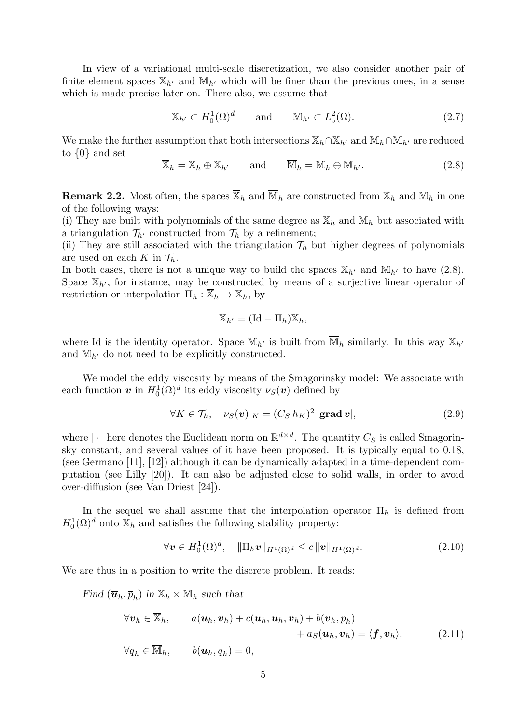In view of a variational multi-scale discretization, we also consider another pair of finite element spaces  $\mathbb{X}_{h'}$  and  $\mathbb{M}_{h'}$  which will be finer than the previous ones, in a sense which is made precise later on. There also, we assume that

$$
\mathbb{X}_{h'} \subset H_0^1(\Omega)^d \qquad \text{and} \qquad \mathbb{M}_{h'} \subset L^2(\Omega). \tag{2.7}
$$

We make the further assumption that both intersections  $\mathbb{X}_h \cap \mathbb{X}_{h'}$  and  $\mathbb{M}_h \cap \mathbb{M}_{h'}$  are reduced to {0} and set

$$
\overline{\mathbb{X}}_h = \mathbb{X}_h \oplus \mathbb{X}_{h'}
$$
 and 
$$
\overline{\mathbb{M}}_h = \mathbb{M}_h \oplus \mathbb{M}_{h'}.
$$
 (2.8)

**Remark 2.2.** Most often, the spaces  $\overline{X}_h$  and  $\overline{M}_h$  are constructed from  $X_h$  and  $M_h$  in one of the following ways:

(i) They are built with polynomials of the same degree as  $\mathbb{X}_h$  and  $\mathbb{M}_h$  but associated with a triangulation  $\mathcal{T}_{h'}$  constructed from  $\mathcal{T}_h$  by a refinement;

(ii) They are still associated with the triangulation  $\mathcal{T}_h$  but higher degrees of polynomials are used on each K in  $\mathcal{T}_h$ .

In both cases, there is not a unique way to build the spaces  $\mathbb{X}_{h'}$  and  $\mathbb{M}_{h'}$  to have (2.8). Space  $\mathbb{X}_{h}$ , for instance, may be constructed by means of a surjective linear operator of restriction or interpolation  $\Pi_h : \overline{\mathbb{X}}_h \to \mathbb{X}_h$ , by

$$
\mathbb{X}_{h'} = (\mathrm{Id} - \Pi_h) \overline{\mathbb{X}}_h,
$$

where Id is the identity operator. Space  $\mathbb{M}_{h'}$  is built from  $\overline{\mathbb{M}}_h$  similarly. In this way  $\mathbb{X}_{h'}$ and  $M_{h'}$  do not need to be explicitly constructed.

We model the eddy viscosity by means of the Smagorinsky model: We associate with each function  $\boldsymbol{v}$  in  $H_0^1(\Omega)^d$  its eddy viscosity  $\nu_S(\boldsymbol{v})$  defined by

$$
\forall K \in \mathcal{T}_h, \quad \nu_S(v)|_K = (C_S h_K)^2 |\mathbf{grad}\, v|,\tag{2.9}
$$

where  $|\cdot|$  here denotes the Euclidean norm on  $\mathbb{R}^{d \times d}$ . The quantity  $C_S$  is called Smagorinsky constant, and several values of it have been proposed. It is typically equal to 0.18, (see Germano [11], [12]) although it can be dynamically adapted in a time-dependent computation (see Lilly [20]). It can also be adjusted close to solid walls, in order to avoid over-diffusion (see Van Driest [24]).

In the sequel we shall assume that the interpolation operator  $\Pi_h$  is defined from  $H_0^1(\Omega)^d$  onto  $\mathbb{X}_h$  and satisfies the following stability property:

$$
\forall \mathbf{v} \in H_0^1(\Omega)^d, \quad \|\Pi_h \mathbf{v}\|_{H^1(\Omega)^d} \leq c \|\mathbf{v}\|_{H^1(\Omega)^d}.
$$
 (2.10)

We are thus in a position to write the discrete problem. It reads:

Find  $(\overline{\mathbf{u}}_h, \overline{p}_h)$  in  $\overline{\mathbb{X}}_h \times \overline{\mathbb{M}}_h$  such that

$$
\forall \overline{\boldsymbol{v}}_h \in \overline{\mathbb{X}}_h, \qquad a(\overline{\boldsymbol{u}}_h, \overline{\boldsymbol{v}}_h) + c(\overline{\boldsymbol{u}}_h, \overline{\boldsymbol{u}}_h, \overline{\boldsymbol{v}}_h) + b(\overline{\boldsymbol{v}}_h, \overline{p}_h) + a_S(\overline{\boldsymbol{u}}_h, \overline{\boldsymbol{v}}_h) = \langle \boldsymbol{f}, \overline{\boldsymbol{v}}_h \rangle, \qquad (2.11)
$$
  

$$
\forall \overline{q}_h \in \overline{\mathbb{M}}_h, \qquad b(\overline{\boldsymbol{u}}_h, \overline{q}_h) = 0,
$$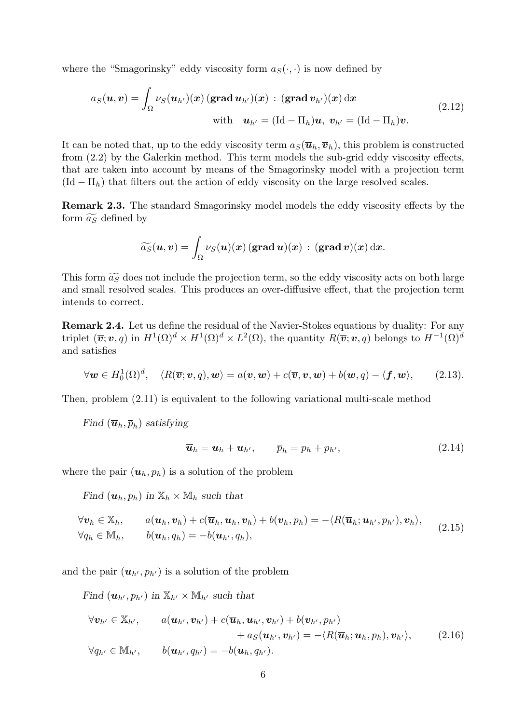where the "Smagorinsky" eddy viscosity form  $a_S(\cdot, \cdot)$  is now defined by

$$
a_S(\boldsymbol{u}, \boldsymbol{v}) = \int_{\Omega} \nu_S(\boldsymbol{u}_{h'})(\boldsymbol{x}) \left(\text{grad } \boldsymbol{u}_{h'}\right)(\boldsymbol{x}) : (\text{grad } \boldsymbol{v}_{h'})(\boldsymbol{x}) \, d\boldsymbol{x}
$$
  
with  $\boldsymbol{u}_{h'} = (\text{Id} - \Pi_h) \boldsymbol{u}, \ \boldsymbol{v}_{h'} = (\text{Id} - \Pi_h) \boldsymbol{v}.$  (2.12)

It can be noted that, up to the eddy viscosity term  $a_S(\overline{u}_h, \overline{v}_h)$ , this problem is constructed from (2.2) by the Galerkin method. This term models the sub-grid eddy viscosity effects, that are taken into account by means of the Smagorinsky model with a projection term  $(\text{Id} - \Pi_h)$  that filters out the action of eddy viscosity on the large resolved scales.

Remark 2.3. The standard Smagorinsky model models the eddy viscosity effects by the form  $\widetilde{a_S}$  defined by

$$
\widetilde{a_S}(\boldsymbol{u},\boldsymbol{v})=\int_{\Omega}\nu_S(\boldsymbol{u})(\boldsymbol{x})\,(\mathbf{grad}\,\boldsymbol{u})(\boldsymbol{x})\,:\,(\mathbf{grad}\,\boldsymbol{v})(\boldsymbol{x})\,\mathrm{d}\boldsymbol{x}.
$$

This form  $\widetilde{a_S}$  does not include the projection term, so the eddy viscosity acts on both large and small resolved scales. This produces an over-diffusive effect, that the projection term intends to correct.

Remark 2.4. Let us define the residual of the Navier-Stokes equations by duality: For any triplet  $(\overline{\bm{v}}; \bm{v}, q)$  in  $H^1(\Omega)^d \times H^1(\Omega)^d \times L^2(\Omega)$ , the quantity  $R(\overline{\bm{v}}; \bm{v}, q)$  belongs to  $H^{-1}(\Omega)^d$ and satisfies

$$
\forall \mathbf{w} \in H_0^1(\Omega)^d, \quad \langle R(\overline{\mathbf{v}}; \mathbf{v}, q), \mathbf{w} \rangle = a(\mathbf{v}, \mathbf{w}) + c(\overline{\mathbf{v}}, \mathbf{v}, \mathbf{w}) + b(\mathbf{w}, q) - \langle \mathbf{f}, \mathbf{w} \rangle, \qquad (2.13).
$$

Then, problem (2.11) is equivalent to the following variational multi-scale method

Find  $(\overline{\boldsymbol{u}}_h, \overline{p}_h)$  satisfying

$$
\overline{\boldsymbol{u}}_h = \boldsymbol{u}_h + \boldsymbol{u}_{h'}, \qquad \overline{p}_h = p_h + p_{h'}, \qquad (2.14)
$$

where the pair  $(u_h, p_h)$  is a solution of the problem

Find  $(\boldsymbol{u}_h, p_h)$  in  $\mathbb{X}_h \times \mathbb{M}_h$  such that

$$
\forall \boldsymbol{v}_h \in \mathbb{X}_h, \qquad a(\boldsymbol{u}_h, \boldsymbol{v}_h) + c(\overline{\boldsymbol{u}}_h, \boldsymbol{u}_h, \boldsymbol{v}_h) + b(\boldsymbol{v}_h, p_h) = -\langle R(\overline{\boldsymbol{u}}_h; \boldsymbol{u}_{h'}, p_{h'}), \boldsymbol{v}_h \rangle, \forall q_h \in \mathbb{M}_h, \qquad b(\boldsymbol{u}_h, q_h) = -b(\boldsymbol{u}_{h'}, q_h),
$$
\n(2.15)

and the pair  $(\mathbf{u}_{h'}, p_{h'})$  is a solution of the problem

Find  $(\mathbf{u}_{h'}, p_{h'})$  in  $\mathbb{X}_{h'} \times \mathbb{M}_{h'}$  such that

$$
\forall \mathbf{v}_{h'} \in \mathbb{X}_{h'}, \qquad a(\mathbf{u}_{h'}, \mathbf{v}_{h'}) + c(\overline{\mathbf{u}}_h, \mathbf{u}_{h'}, \mathbf{v}_{h'}) + b(\mathbf{v}_{h'}, p_{h'}) + a_S(\mathbf{u}_{h'}, \mathbf{v}_{h'}) = -\langle R(\overline{\mathbf{u}}_h; \mathbf{u}_h, p_h), \mathbf{v}_{h'} \rangle, \qquad (2.16) \forall q_{h'} \in \mathbb{M}_{h'}, \qquad b(\mathbf{u}_{h'}, q_{h'}) = -b(\mathbf{u}_h, q_{h'}).
$$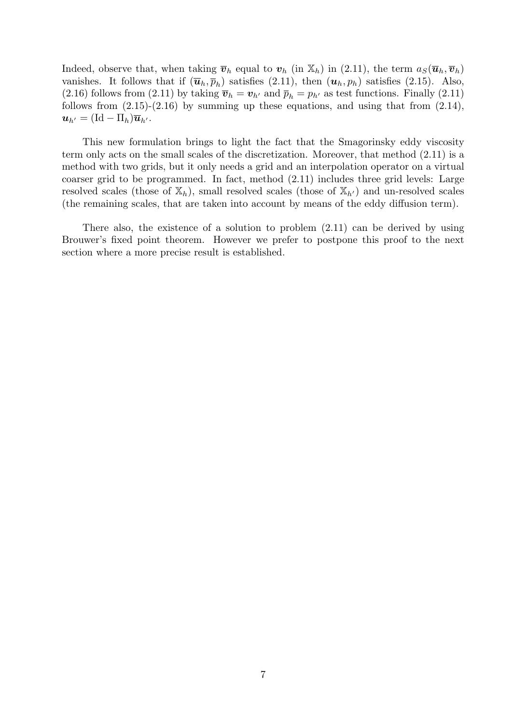Indeed, observe that, when taking  $\bar{v}_h$  equal to  $v_h$  (in  $\mathbb{X}_h$ ) in (2.11), the term  $a_S(\bar{u}_h, \bar{v}_h)$ vanishes. It follows that if  $(\overline{\mathbf{u}}_h, \overline{p}_h)$  satisfies  $(2.11)$ , then  $(\mathbf{u}_h, p_h)$  satisfies  $(2.15)$ . Also, (2.16) follows from (2.11) by taking  $\bar{v}_h = v_{h'}$  and  $\bar{p}_h = p_{h'}$  as test functions. Finally (2.11) follows from  $(2.15)-(2.16)$  by summing up these equations, and using that from  $(2.14)$ ,  $u_{h'} = (\text{Id} - \Pi_h)\overline{u}_{h'}$ .

This new formulation brings to light the fact that the Smagorinsky eddy viscosity term only acts on the small scales of the discretization. Moreover, that method (2.11) is a method with two grids, but it only needs a grid and an interpolation operator on a virtual coarser grid to be programmed. In fact, method (2.11) includes three grid levels: Large resolved scales (those of  $\mathbb{X}_h$ ), small resolved scales (those of  $\mathbb{X}_{h'}$ ) and un-resolved scales (the remaining scales, that are taken into account by means of the eddy diffusion term).

There also, the existence of a solution to problem (2.11) can be derived by using Brouwer's fixed point theorem. However we prefer to postpone this proof to the next section where a more precise result is established.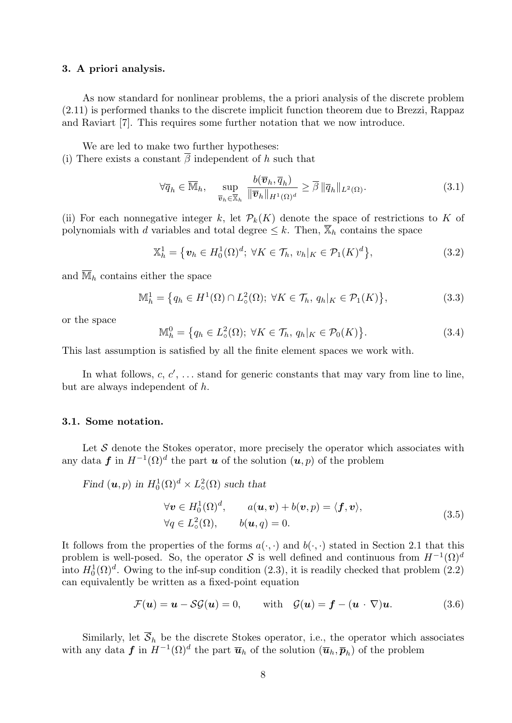#### 3. A priori analysis.

As now standard for nonlinear problems, the a priori analysis of the discrete problem (2.11) is performed thanks to the discrete implicit function theorem due to Brezzi, Rappaz and Raviart [7]. This requires some further notation that we now introduce.

We are led to make two further hypotheses:

(i) There exists a constant  $\overline{\beta}$  independent of h such that

$$
\forall \overline{q}_h \in \overline{\mathbb{M}}_h, \quad \sup_{\overline{\boldsymbol{v}}_h \in \overline{\mathbb{X}}_h} \frac{b(\overline{\boldsymbol{v}}_h, \overline{q}_h)}{\|\overline{\boldsymbol{v}}_h\|_{H^1(\Omega)^d}} \ge \overline{\beta} \|\overline{q}_h\|_{L^2(\Omega)}.
$$
\n(3.1)

(ii) For each nonnegative integer k, let  $\mathcal{P}_k(K)$  denote the space of restrictions to K of polynomials with d variables and total degree  $\leq k$ . Then,  $\overline{\mathbb{X}}_h$  contains the space

$$
\mathbb{X}_h^1 = \left\{ \boldsymbol{v}_h \in H_0^1(\Omega)^d; \ \forall K \in \mathcal{T}_h, \ v_h|_K \in \mathcal{P}_1(K)^d \right\},\tag{3.2}
$$

and  $\overline{\mathbb{M}}_h$  contains either the space

$$
\mathbb{M}_h^1 = \left\{ q_h \in H^1(\Omega) \cap L^2(\Omega); \ \forall K \in \mathcal{T}_h, \ q_h|_K \in \mathcal{P}_1(K) \right\},\tag{3.3}
$$

or the space

$$
\mathbb{M}_h^0 = \left\{ q_h \in L^2(\Omega); \ \forall K \in \mathcal{T}_h, \ q_h |_K \in \mathcal{P}_0(K) \right\}.
$$
\n
$$
(3.4)
$$

This last assumption is satisfied by all the finite element spaces we work with.

In what follows,  $c, c', \ldots$  stand for generic constants that may vary from line to line, but are always independent of h.

#### 3.1. Some notation.

Let  $S$  denote the Stokes operator, more precisely the operator which associates with any data f in  $H^{-1}(\Omega)^d$  the part u of the solution  $(u, p)$  of the problem

Find  $(\boldsymbol{u}, p)$  in  $H_0^1(\Omega)^d \times L^2_{\circ}(\Omega)$  such that

$$
\forall \mathbf{v} \in H_0^1(\Omega)^d, \qquad a(\mathbf{u}, \mathbf{v}) + b(\mathbf{v}, p) = \langle \mathbf{f}, \mathbf{v} \rangle, \n\forall q \in L_0^2(\Omega), \qquad b(\mathbf{u}, q) = 0.
$$
\n(3.5)

It follows from the properties of the forms  $a(\cdot, \cdot)$  and  $b(\cdot, \cdot)$  stated in Section 2.1 that this problem is well-posed. So, the operator S is well defined and continuous from  $H^{-1}(\Omega)^d$ into  $H_0^1(\Omega)^d$ . Owing to the inf-sup condition (2.3), it is readily checked that problem (2.2) can equivalently be written as a fixed-point equation

$$
\mathcal{F}(\boldsymbol{u}) = \boldsymbol{u} - \mathcal{SG}(\boldsymbol{u}) = 0, \quad \text{with} \quad \mathcal{G}(\boldsymbol{u}) = \boldsymbol{f} - (\boldsymbol{u} \cdot \nabla)\boldsymbol{u}. \tag{3.6}
$$

Similarly, let  $\overline{S}_h$  be the discrete Stokes operator, i.e., the operator which associates with any data  $f$  in  $H^{-1}(\Omega)^d$  the part  $\overline{u}_h$  of the solution  $(\overline{u}_h, \overline{p}_h)$  of the problem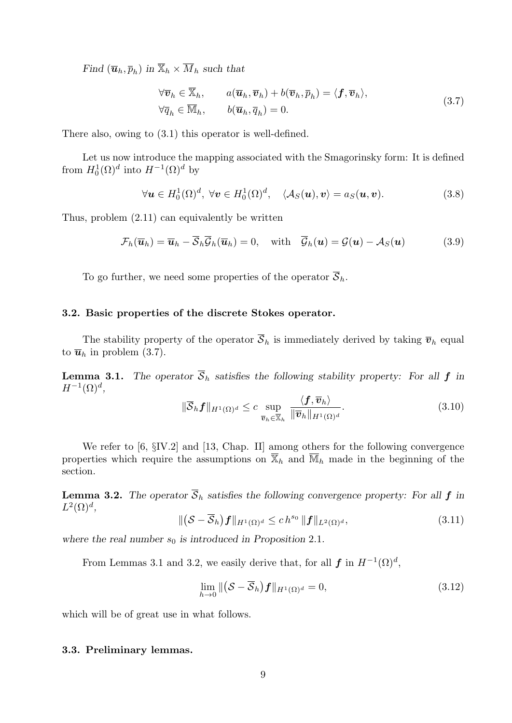Find  $(\overline{\mathbf{u}}_h, \overline{p}_h)$  in  $\overline{\mathbb{X}}_h \times \overline{M}_h$  such that

$$
\forall \overline{\boldsymbol{v}}_h \in \overline{\mathbb{X}}_h, \qquad a(\overline{\boldsymbol{u}}_h, \overline{\boldsymbol{v}}_h) + b(\overline{\boldsymbol{v}}_h, \overline{p}_h) = \langle \boldsymbol{f}, \overline{\boldsymbol{v}}_h \rangle, \forall \overline{q}_h \in \overline{\mathbb{M}}_h, \qquad b(\overline{\boldsymbol{u}}_h, \overline{q}_h) = 0.
$$
\n(3.7)

There also, owing to (3.1) this operator is well-defined.

Let us now introduce the mapping associated with the Smagorinsky form: It is defined from  $H_0^1(\Omega)^d$  into  $H^{-1}(\Omega)^d$  by

$$
\forall \mathbf{u} \in H_0^1(\Omega)^d, \ \forall \mathbf{v} \in H_0^1(\Omega)^d, \quad \langle A_S(\mathbf{u}), \mathbf{v} \rangle = a_S(\mathbf{u}, \mathbf{v}). \tag{3.8}
$$

Thus, problem (2.11) can equivalently be written

$$
\mathcal{F}_h(\overline{\boldsymbol{u}}_h) = \overline{\boldsymbol{u}}_h - \overline{\mathcal{S}}_h \overline{\mathcal{G}}_h(\overline{\boldsymbol{u}}_h) = 0, \quad \text{with} \quad \overline{\mathcal{G}}_h(\boldsymbol{u}) = \mathcal{G}(\boldsymbol{u}) - \mathcal{A}_S(\boldsymbol{u}) \tag{3.9}
$$

To go further, we need some properties of the operator  $\overline{S}_h$ .

# 3.2. Basic properties of the discrete Stokes operator.

The stability property of the operator  $\overline{S}_h$  is immediately derived by taking  $\overline{v}_h$  equal to  $\overline{u}_h$  in problem (3.7).

**Lemma 3.1.** The operator  $\overline{S}_h$  satisfies the following stability property: For all f in  $H^{-1}(\Omega)^d$ ,

$$
\|\overline{\mathcal{S}}_h f\|_{H^1(\Omega)^d} \leq c \sup_{\overline{\boldsymbol{v}}_h \in \overline{\mathbb{X}}_h} \frac{\langle f, \overline{\boldsymbol{v}}_h \rangle}{\|\overline{\boldsymbol{v}}_h\|_{H^1(\Omega)^d}}.
$$
(3.10)

We refer to [6,  $\S$ IV.2] and [13, Chap. II] among others for the following convergence properties which require the assumptions on  $\overline{X}_h$  and  $\overline{M}_h$  made in the beginning of the section.

**Lemma 3.2.** The operator  $\overline{S}_h$  satisfies the following convergence property: For all  $f$  in  $L^2(\Omega)^d$ ,

$$
\|(\mathcal{S}-\overline{\mathcal{S}}_h)\boldsymbol{f}\|_{H^1(\Omega)^d} \le ch^{s_0} \|\boldsymbol{f}\|_{L^2(\Omega)^d},\tag{3.11}
$$

where the real number  $s_0$  is introduced in Proposition 2.1.

From Lemmas 3.1 and 3.2, we easily derive that, for all  $f$  in  $H^{-1}(\Omega)^d$ ,

$$
\lim_{h \to 0} \|(\mathcal{S} - \overline{\mathcal{S}}_h) f\|_{H^1(\Omega)^d} = 0,
$$
\n(3.12)

which will be of great use in what follows.

# 3.3. Preliminary lemmas.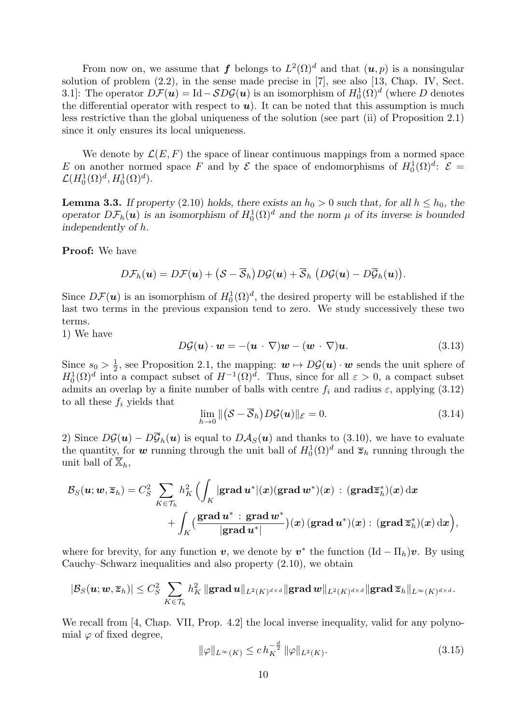From now on, we assume that f belongs to  $L^2(\Omega)^d$  and that  $(u, p)$  is a nonsingular solution of problem (2.2), in the sense made precise in [7], see also [13, Chap. IV, Sect. 3.1]: The operator  $D\mathcal{F}(u) = \text{Id} - SD\mathcal{G}(u)$  is an isomorphism of  $H_0^1(\Omega)^d$  (where D denotes the differential operator with respect to  $u$ ). It can be noted that this assumption is much less restrictive than the global uniqueness of the solution (see part (ii) of Proposition 2.1) since it only ensures its local uniqueness.

We denote by  $\mathcal{L}(E, F)$  the space of linear continuous mappings from a normed space E on another normed space F and by E the space of endomorphisms of  $H_0^1(\Omega)^d$ :  $\mathcal{E} =$  $\mathcal{L}(H^1_0(\Omega)^d, H^1_0(\Omega)^d).$ 

**Lemma 3.3.** If property (2.10) holds, there exists an  $h_0 > 0$  such that, for all  $h \leq h_0$ , the operator  $D\mathcal{F}_h(\boldsymbol{u})$  is an isomorphism of  $H_0^1(\Omega)^d$  and the norm  $\mu$  of its inverse is bounded independently of h.

Proof: We have

$$
D\mathcal{F}_h(\boldsymbol{u})=D\mathcal{F}(\boldsymbol{u})+\big(\mathcal{S}-\overline{\mathcal{S}}_h\big)D\mathcal{G}(\boldsymbol{u})+\overline{\mathcal{S}}_h\;\big(D\mathcal{G}(\boldsymbol{u})-D\overline{\mathcal{G}}_h(\boldsymbol{u})\big).
$$

Since  $D\mathcal{F}(u)$  is an isomorphism of  $H_0^1(\Omega)^d$ , the desired property will be established if the last two terms in the previous expansion tend to zero. We study successively these two terms.

1) We have

$$
D\mathcal{G}(\boldsymbol{u}) \cdot \boldsymbol{w} = -(\boldsymbol{u} \cdot \nabla)\boldsymbol{w} - (\boldsymbol{w} \cdot \nabla)\boldsymbol{u}.
$$
 (3.13)

Since  $s_0 > \frac{1}{2}$  $\frac{1}{2}$ , see Proposition 2.1, the mapping:  $w \mapsto D\mathcal{G}(u) \cdot w$  sends the unit sphere of  $H_0^1(\Omega)^d$  into a compact subset of  $H^{-1}(\Omega)^d$ . Thus, since for all  $\varepsilon > 0$ , a compact subset admits an overlap by a finite number of balls with centre  $f_i$  and radius  $\varepsilon$ , applying (3.12) to all these  $f_i$  yields that

$$
\lim_{h \to 0} \|(\mathcal{S} - \overline{\mathcal{S}}_h) D\mathcal{G}(u)\|_{\mathcal{E}} = 0.
$$
\n(3.14)

2) Since  $D\mathcal{G}(u) - D\overline{\mathcal{G}}_h(u)$  is equal to  $D\mathcal{A}_S(u)$  and thanks to (3.10), we have to evaluate the quantity, for w running through the unit ball of  $H_0^1(\Omega)^d$  and  $\overline{z}_h$  running through the unit ball of  $\overline{\mathbb{X}}_h$ ,

$$
\begin{aligned} \mathcal{B}_S(\boldsymbol{u};\boldsymbol{w},\overline{\boldsymbol{z}}_h) = C_S^2 \sum_{K\in\mathcal{T}_h} h_K^2\,\Bigl(\int_K |\mathbf{grad\,}\boldsymbol{u}^*|(\boldsymbol{x}) (\mathbf{grad\,}\boldsymbol{w}^*)(\boldsymbol{x})\,:\,(\mathbf{grad\,}\overline{\boldsymbol{z}}_h^*)(\boldsymbol{x})\,\mathrm{d}\boldsymbol{x} \\ &\quad + \int_K \bigl(\frac{\mathbf{grad\,}\boldsymbol{u}^*}{|\mathbf{grad\,}\boldsymbol{u}^*|}\bigr)(\boldsymbol{x})\,(\mathbf{grad\,}\boldsymbol{u}^*)(\boldsymbol{x})\,:\,(\mathbf{grad\,}\overline{\boldsymbol{z}}_h^*)(\boldsymbol{x})\,\mathrm{d}\boldsymbol{x}\Bigr), \end{aligned}
$$

where for brevity, for any function  $v$ , we denote by  $v^*$  the function  $(\mathrm{Id} - \Pi_h)v$ . By using Cauchy–Schwarz inequalities and also property (2.10), we obtain

$$
|\mathcal{B}_S(\boldsymbol{u};\boldsymbol{w},\overline{\boldsymbol{z}}_h)|\leq C_S^2\sum_{K\in\mathcal{T}_h}h_K^2\,\|\text{{\bf grad}}\,\boldsymbol{u}\|_{L^2(K)^{d\times d}}\|\text{{\bf grad}}\,\boldsymbol{w}\|_{L^2(K)^{d\times d}}\|\text{{\bf grad}}\,\overline{\boldsymbol{z}}_h\|_{L^\infty(K)^{d\times d}}.
$$

We recall from [4, Chap. VII, Prop. 4.2] the local inverse inequality, valid for any polynomial  $\varphi$  of fixed degree,

$$
\|\varphi\|_{L^{\infty}(K)} \le c \, h_K^{-\frac{d}{2}} \, \|\varphi\|_{L^2(K)}.
$$
\n(3.15)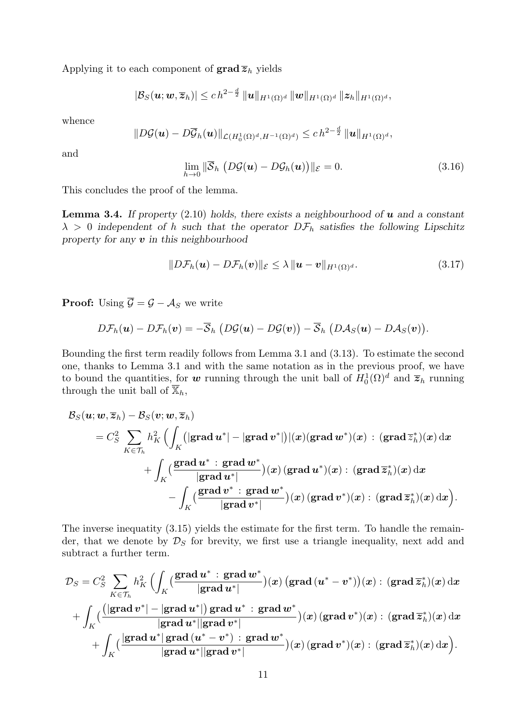Applying it to each component of  $\mathbf{grad}\,\overline{z}_h$  yields

$$
|\mathcal{B}_S(\bm{u};\bm{w},\overline{\bm{z}}_h)| \leq c h^{2-\frac{d}{2}} \, \|\bm{u}\|_{H^1(\Omega)^d} \, \|\bm{w}\|_{H^1(\Omega)^d} \, \|\bm{z}_h\|_{H^1(\Omega)^d},
$$

whence

$$
||D\mathcal{G}(u)-D\overline{\mathcal{G}}_h(u)||_{\mathcal{L}(H_0^1(\Omega)^d,H^{-1}(\Omega)^d)} \leq c\,h^{2-\frac{d}{2}}\,||u||_{H^1(\Omega)^d},
$$

and

$$
\lim_{h \to 0} \|\overline{\mathcal{S}}_h \left( D\mathcal{G}(u) - D\mathcal{G}_h(u) \right) \|_{\mathcal{E}} = 0. \tag{3.16}
$$

This concludes the proof of the lemma.

**Lemma 3.4.** If property  $(2.10)$  holds, there exists a neighbourhood of u and a constant  $\lambda > 0$  independent of h such that the operator  $D\mathcal{F}_h$  satisfies the following Lipschitz property for any  $v$  in this neighbourhood

$$
||D\mathcal{F}_h(\boldsymbol{u}) - D\mathcal{F}_h(\boldsymbol{v})||_{\mathcal{E}} \leq \lambda ||\boldsymbol{u} - \boldsymbol{v}||_{H^1(\Omega)^d}.
$$
\n(3.17)

**Proof:** Using  $\overline{\mathcal{G}} = \mathcal{G} - \mathcal{A}_S$  we write

$$
D\mathcal{F}_h(\boldsymbol{u})-D\mathcal{F}_h(\boldsymbol{v})=-\overline{\mathcal{S}}_h(D\mathcal{G}(\boldsymbol{u})-D\mathcal{G}(\boldsymbol{v}))-\overline{\mathcal{S}}_h(D\mathcal{A}_S(\boldsymbol{u})-D\mathcal{A}_S(\boldsymbol{v})).
$$

Bounding the first term readily follows from Lemma 3.1 and (3.13). To estimate the second one, thanks to Lemma 3.1 and with the same notation as in the previous proof, we have to bound the quantities, for w running through the unit ball of  $H_0^1(\Omega)^d$  and  $\overline{z}_h$  running through the unit ball of  $\overline{\mathbb{X}}_h$ ,

$$
\begin{aligned} \mathcal{B}_S(\boldsymbol{u};\boldsymbol{w},\overline{\boldsymbol{z}}_h) - \mathcal{B}_S(\boldsymbol{v};\boldsymbol{w},\overline{\boldsymbol{z}}_h) \\ & = C_S^2 \sum_{K\in\mathcal{T}_h} h_K^2\, \Bigl( \int_K \bigl(|\mathbf{grad}\,\boldsymbol{u}^*|-|\mathbf{grad}\,\boldsymbol{v}^*| \bigr) |(\boldsymbol{x}) (\mathbf{grad}\,\boldsymbol{w}^*)(\boldsymbol{x})\,:\, (\mathbf{grad}\,\overline{\boldsymbol{z}}_h^*)(\boldsymbol{x})\,\mathrm{d}\boldsymbol{x} \\ & + \int_K \bigl( \frac{\mathbf{grad}\,\boldsymbol{u}^*:\,\mathbf{grad}\,\boldsymbol{w}^*}{|\mathbf{grad}\,\boldsymbol{u}^*|}\bigr) (\boldsymbol{x})\,(\mathbf{grad}\,\boldsymbol{u}^*)(\boldsymbol{x})\,:\, (\mathbf{grad}\,\overline{\boldsymbol{z}}_h^*)(\boldsymbol{x})\,\mathrm{d}\boldsymbol{x} \\ & - \int_K \bigl( \frac{\mathbf{grad}\,\boldsymbol{v}^*:\,\mathbf{grad}\,\boldsymbol{w}^*}{|\mathbf{grad}\,\boldsymbol{v}^*|}\bigr) (\boldsymbol{x})\,(\mathbf{grad}\,\boldsymbol{v}^*)(\boldsymbol{x})\,:\, (\mathbf{grad}\,\overline{\boldsymbol{z}}_h^*)(\boldsymbol{x})\,\mathrm{d}\boldsymbol{x} \Bigr). \end{aligned}
$$

The inverse inequatity (3.15) yields the estimate for the first term. To handle the remainder, that we denote by  $\mathcal{D}_S$  for brevity, we first use a triangle inequality, next add and subtract a further term.

$$
\mathcal{D}_S = C_S^2 \sum_{K \in \mathcal{T}_h} h_K^2 \Big( \int_K (\frac{\mathbf{grad}\, \boldsymbol{u}^* : \mathbf{grad}\, \boldsymbol{w}^*}{|\mathbf{grad}\, \boldsymbol{u}^*|}) (\boldsymbol{x}) \, (\mathbf{grad}\, (\boldsymbol{u}^* - \boldsymbol{v}^*)) (\boldsymbol{x}) : (\mathbf{grad}\, \overline{\boldsymbol{z}}_h^*)(\boldsymbol{x}) \, \mathrm{d}\boldsymbol{x} \\ + \int_K (\frac{(|\mathbf{grad}\, \boldsymbol{v}^* | - |\mathbf{grad}\, \boldsymbol{u}^*|)}{|\mathbf{grad}\, \boldsymbol{u}^*||\mathbf{grad}\, \boldsymbol{v}^*|}) (\boldsymbol{x}) \, (\mathbf{grad}\, \boldsymbol{v}^*) (\boldsymbol{x}) : (\mathbf{grad}\, \overline{\boldsymbol{z}}_h^*)(\boldsymbol{x}) \, \mathrm{d}\boldsymbol{x} \\ + \int_K (\frac{|\mathbf{grad}\, \boldsymbol{u}^* | \mathbf{grad}\, (\boldsymbol{u}^* - \boldsymbol{v}^*) : \mathbf{grad}\, \boldsymbol{w}^*}{|\mathbf{grad}\, \boldsymbol{u}^*||\mathbf{grad}\, \boldsymbol{v}^*|}) (\boldsymbol{x}) \, (\mathbf{grad}\, \boldsymbol{v}^*) (\boldsymbol{x}) : (\mathbf{grad}\, \overline{\boldsymbol{z}}_h^*)(\boldsymbol{x}) \, \mathrm{d}\boldsymbol{x} \Big).
$$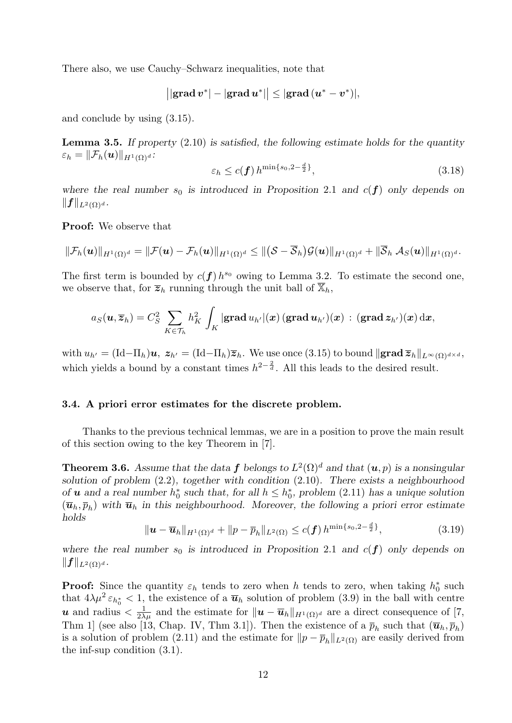There also, we use Cauchy–Schwarz inequalities, note that

$$
\big| |\text{grad } v^*| - |\text{grad } u^*| \big| \leq |\text{grad } (u^* - v^*)|,
$$

and conclude by using (3.15).

**Lemma 3.5.** If property  $(2.10)$  is satisfied, the following estimate holds for the quantity  $\varepsilon_h = \|\mathcal{F}_h(\boldsymbol{u})\|_{H^1(\Omega)^d}$ :

$$
\varepsilon_h \le c(\mathbf{f}) \, h^{\min\{s_0, 2-\frac{d}{2}\}},\tag{3.18}
$$

where the real number  $s_0$  is introduced in Proposition 2.1 and  $c(f)$  only depends on  $||f||_{L^2(\Omega)^d}$ .

Proof: We observe that

$$
\|\mathcal{F}_h(\boldsymbol{u})\|_{H^1(\Omega)^d} = \|\mathcal{F}(\boldsymbol{u}) - \mathcal{F}_h(\boldsymbol{u})\|_{H^1(\Omega)^d} \leq \|(\mathcal{S} - \overline{\mathcal{S}}_h)\mathcal{G}(\boldsymbol{u})\|_{H^1(\Omega)^d} + \|\overline{\mathcal{S}}_h\,\mathcal{A}_S(\boldsymbol{u})\|_{H^1(\Omega)^d}.
$$

The first term is bounded by  $c(f) h^{s_0}$  owing to Lemma 3.2. To estimate the second one, we observe that, for  $\overline{z}_h$  running through the unit ball of  $\mathbb{X}_h$ ,

$$
a_S(\boldsymbol{u},\overline{\boldsymbol{z}}_h)=C_S^2\sum_{K\in\mathcal{T}_h}h_K^2\int_K|\mathbf{grad}\,u_{h'}|(\boldsymbol{x})\,(\mathbf{grad}\,\boldsymbol{u}_{h'})(\boldsymbol{x})\,:\,(\mathbf{grad}\,\boldsymbol{z}_{h'})(\boldsymbol{x})\,\mathrm{d}\boldsymbol{x},
$$

with  $u_{h'} = (\text{Id} - \Pi_h)\mathbf{u}, \ z_{h'} = (\text{Id} - \Pi_h)\overline{z}_h.$  We use once (3.15) to bound  $\|\mathbf{grad}\,\overline{z}_h\|_{L^\infty(\Omega)^{d\times d}},$ which yields a bound by a constant times  $h^{2-\frac{2}{d}}$ . All this leads to the desired result.

#### 3.4. A priori error estimates for the discrete problem.

Thanks to the previous technical lemmas, we are in a position to prove the main result of this section owing to the key Theorem in [7].

**Theorem 3.6.** Assume that the data f belongs to  $L^2(\Omega)^d$  and that  $(u, p)$  is a nonsingular solution of problem (2.2), together with condition (2.10). There exists a neighbourhood of **u** and a real number  $h_0^*$  such that, for all  $h \leq h_0^*$ , problem (2.11) has a unique solution  $(\overline{\bm{u}}_h, \overline{p}_h)$  with  $\overline{\bm{u}}_h$  in this neighbourhood. Moreover, the following a priori error estimate holds

$$
\|\mathbf{u} - \overline{\mathbf{u}}_h\|_{H^1(\Omega)^d} + \|p - \overline{p}_h\|_{L^2(\Omega)} \le c(\mathbf{f}) h^{\min\{s_0, 2 - \frac{d}{2}\}},
$$
\n(3.19)

where the real number  $s_0$  is introduced in Proposition 2.1 and  $c(f)$  only depends on  $\|f\|_{L^2(\Omega)^d}.$ 

**Proof:** Since the quantity  $\varepsilon_h$  tends to zero when h tends to zero, when taking  $h_0^*$  such that  $4\lambda\mu^2 \varepsilon_{h_0^*} < 1$ , the existence of a  $\overline{u}_h$  solution of problem (3.9) in the ball with centre u and radius  $\langle \frac{1}{2\lambda\mu} \rangle$  and the estimate for  $||u - \overline{u}_h||_{H^1(\Omega)^d}$  are a direct consequence of [7, Thm 1] (see also [13, Chap. IV, Thm 3.1]). Then the existence of a  $\bar{p}_h$  such that  $(\bar{u}_h, \bar{p}_h)$ is a solution of problem (2.11) and the estimate for  $||p - \overline{p}_h||_{L^2(\Omega)}$  are easily derived from the inf-sup condition (3.1).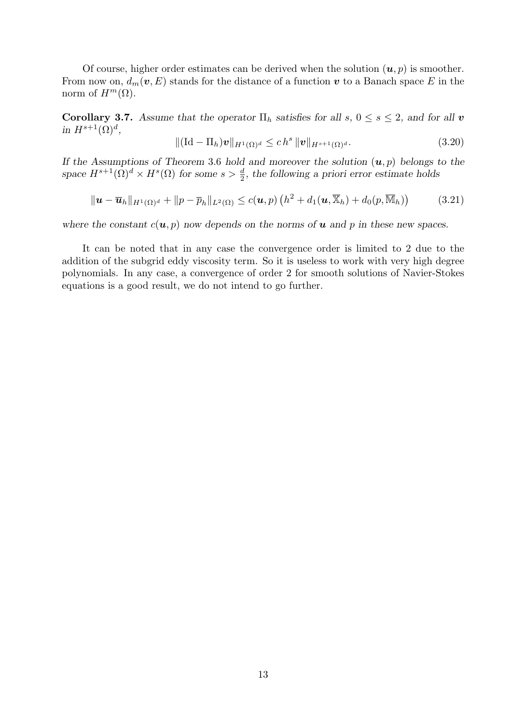Of course, higher order estimates can be derived when the solution  $(u, p)$  is smoother. From now on,  $d_m(v, E)$  stands for the distance of a function v to a Banach space E in the norm of  $H^m(\Omega)$ .

Corollary 3.7. Assume that the operator  $\Pi_h$  satisfies for all  $s, 0 \le s \le 2$ , and for all v in  $H^{s+1}(\Omega)^d$ ,

$$
\|(\mathrm{Id}-\Pi_h)\mathbf{v}\|_{H^1(\Omega)^d} \le ch^s \| \mathbf{v} \|_{H^{s+1}(\Omega)^d}.
$$
\n(3.20)

If the Assumptions of Theorem 3.6 hold and moreover the solution  $(u, p)$  belongs to the space  $H^{s+1}(\Omega)^d \times H^s(\Omega)$  for some  $s > \frac{d}{2}$ , the following a priori error estimate holds

$$
\|\mathbf{u}-\overline{\mathbf{u}}_h\|_{H^1(\Omega)^d} + \|p-\overline{p}_h\|_{L^2(\Omega)} \leq c(\mathbf{u},p) \left(h^2 + d_1(\mathbf{u},\overline{\mathbb{X}}_h) + d_0(p,\overline{\mathbb{M}}_h)\right) \tag{3.21}
$$

where the constant  $c(\mathbf{u}, p)$  now depends on the norms of **u** and p in these new spaces.

It can be noted that in any case the convergence order is limited to 2 due to the addition of the subgrid eddy viscosity term. So it is useless to work with very high degree polynomials. In any case, a convergence of order 2 for smooth solutions of Navier-Stokes equations is a good result, we do not intend to go further.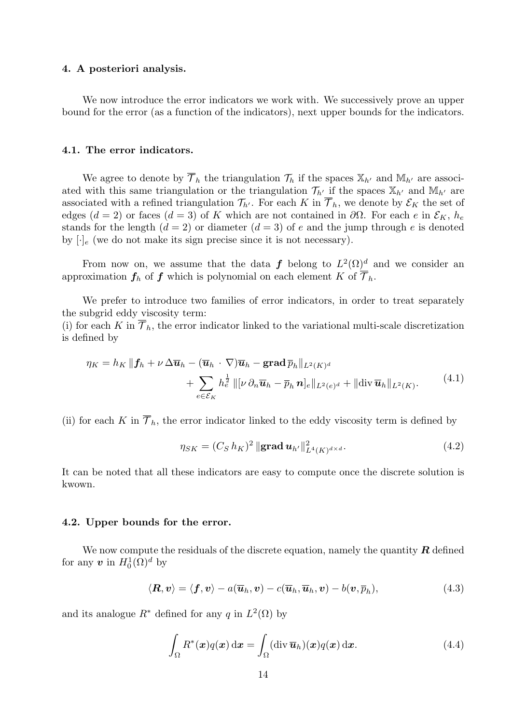#### 4. A posteriori analysis.

We now introduce the error indicators we work with. We successively prove an upper bound for the error (as a function of the indicators), next upper bounds for the indicators.

# 4.1. The error indicators.

We agree to denote by  $\overline{\mathcal{T}}_h$  the triangulation  $\mathcal{T}_h$  if the spaces  $\mathbb{X}_{h'}$  and  $\mathbb{M}_{h'}$  are associated with this same triangulation or the triangulation  $\mathcal{T}_{h'}$  if the spaces  $\mathbb{X}_{h'}$  and  $\mathbb{M}_{h'}$  are associated with a refined triangulation  $\mathcal{T}_{h'}$ . For each K in  $\overline{\mathcal{T}}_h$ , we denote by  $\mathcal{E}_K$  the set of edges (d = 2) or faces (d = 3) of K which are not contained in  $\partial\Omega$ . For each e in  $\mathcal{E}_K$ ,  $h_e$ stands for the length  $(d = 2)$  or diameter  $(d = 3)$  of e and the jump through e is denoted by  $[\cdot]_e$  (we do not make its sign precise since it is not necessary).

From now on, we assume that the data f belong to  $L^2(\Omega)^d$  and we consider an approximation  $f_h$  of f which is polynomial on each element K of  $\overline{\mathcal{T}}_h$ .

We prefer to introduce two families of error indicators, in order to treat separately the subgrid eddy viscosity term: (i) for each K in  $\overline{\mathcal{T}}_h$ , the error indicator linked to the variational multi-scale discretization

is defined by

$$
\eta_K = h_K \|\mathbf{f}_h + \nu \Delta \overline{\mathbf{u}}_h - (\overline{\mathbf{u}}_h \cdot \nabla) \overline{\mathbf{u}}_h - \mathbf{grad} \, \overline{p}_h\|_{L^2(K)^d} \n+ \sum_{e \in \mathcal{E}_K} h_e^{\frac{1}{2}} \|[ \nu \, \partial_n \overline{\mathbf{u}}_h - \overline{p}_h \, \mathbf{n}]_e \|_{L^2(e)^d} + \| \text{div } \overline{\mathbf{u}}_h \|_{L^2(K)}.
$$
\n(4.1)

(ii) for each K in  $\overline{\mathcal{T}}_h$ , the error indicator linked to the eddy viscosity term is defined by

$$
\eta_{SK} = (C_S \, h_K)^2 \, \|\mathbf{grad} \, \mathbf{u}_{h'}\|_{L^4(K)^{d \times d}}^2. \tag{4.2}
$$

It can be noted that all these indicators are easy to compute once the discrete solution is kwown.

# 4.2. Upper bounds for the error.

We now compute the residuals of the discrete equation, namely the quantity  $\bm{R}$  defined for any  $\boldsymbol{v}$  in  $H_0^1(\Omega)^d$  by

$$
\langle \mathbf{R}, \mathbf{v} \rangle = \langle \mathbf{f}, \mathbf{v} \rangle - a(\overline{\mathbf{u}}_h, \mathbf{v}) - c(\overline{\mathbf{u}}_h, \overline{\mathbf{u}}_h, \mathbf{v}) - b(\mathbf{v}, \overline{p}_h), \qquad (4.3)
$$

and its analogue  $R^*$  defined for any q in  $L^2(\Omega)$  by

$$
\int_{\Omega} R^*(\boldsymbol{x}) q(\boldsymbol{x}) \, \mathrm{d}\boldsymbol{x} = \int_{\Omega} (\operatorname{div} \overline{\boldsymbol{u}}_h)(\boldsymbol{x}) q(\boldsymbol{x}) \, \mathrm{d}\boldsymbol{x}.\tag{4.4}
$$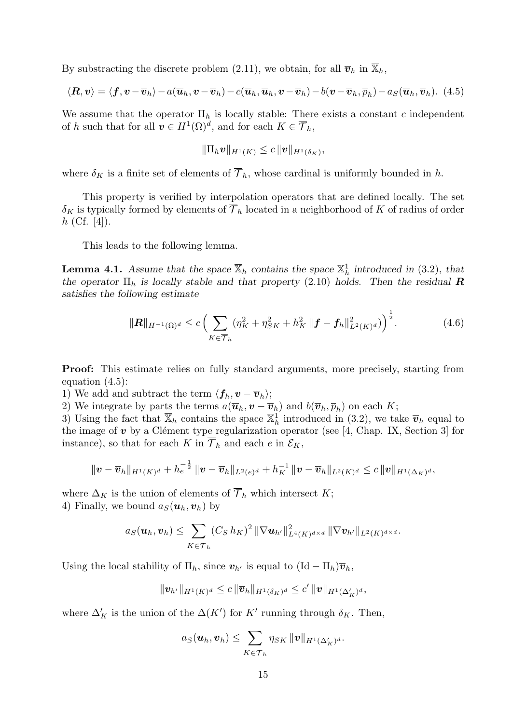By substracting the discrete problem (2.11), we obtain, for all  $\overline{v}_h$  in  $\mathbb{X}_h$ ,

$$
\langle \mathbf{R}, \mathbf{v} \rangle = \langle \mathbf{f}, \mathbf{v} - \overline{\mathbf{v}}_h \rangle - a(\overline{\mathbf{u}}_h, \mathbf{v} - \overline{\mathbf{v}}_h) - c(\overline{\mathbf{u}}_h, \overline{\mathbf{u}}_h, \mathbf{v} - \overline{\mathbf{v}}_h) - b(\mathbf{v} - \overline{\mathbf{v}}_h, \overline{p}_h) - a_S(\overline{\mathbf{u}}_h, \overline{\mathbf{v}}_h).
$$
(4.5)

We assume that the operator  $\Pi_h$  is locally stable: There exists a constant c independent of h such that for all  $v \in H^1(\Omega)^d$ , and for each  $K \in \overline{\mathcal{T}}_h$ ,

$$
\|\Pi_h \bm{v}\|_{H^1(K)} \leq c \, \|\bm{v}\|_{H^1(\delta_K)},
$$

where  $\delta_K$  is a finite set of elements of  $\overline{\mathcal{T}}_h$ , whose cardinal is uniformly bounded in h.

This property is verified by interpolation operators that are defined locally. The set  $\delta_K$  is typically formed by elements of  $\overline{\mathcal{T}}_h$  located in a neighborhood of K of radius of order  $h$  (Cf. [4]).

This leads to the following lemma.

**Lemma 4.1.** Assume that the space  $\overline{X}_h$  contains the space  $X_h^1$  introduced in (3.2), that the operator  $\Pi_h$  is locally stable and that property (2.10) holds. Then the residual **R** satisfies the following estimate

$$
\|\mathbf{R}\|_{H^{-1}(\Omega)^d} \le c \left( \sum_{K \in \overline{\mathcal{T}}_h} (\eta_K^2 + \eta_{SK}^2 + h_K^2 \|\mathbf{f} - \mathbf{f}_h\|_{L^2(K)^d}^2) \right)^{\frac{1}{2}}.
$$
 (4.6)

Proof: This estimate relies on fully standard arguments, more precisely, starting from equation (4.5):

1) We add and subtract the term  $\langle f_h, v - \overline{v}_h \rangle$ ;

2) We integrate by parts the terms  $a(\overline{\boldsymbol{u}}_h, \boldsymbol{v} - \overline{\boldsymbol{v}}_h)$  and  $b(\overline{\boldsymbol{v}}_h, \overline{p}_h)$  on each K;

3) Using the fact that  $\overline{X}_h$  contains the space  $X_h^1$  introduced in (3.2), we take  $\overline{v}_h$  equal to the image of  $v$  by a Clément type regularization operator (see [4, Chap. IX, Section 3] for instance), so that for each K in  $\overline{\mathcal{T}}_h$  and each e in  $\mathcal{E}_K$ ,

$$
\|\bm{v}-\overline{\bm{v}}_h\|_{H^1(K)^d}+h_e^{-\frac{1}{2}}\|\bm{v}-\overline{\bm{v}}_h\|_{L^2(e)^d}+h_K^{-1}\|\bm{v}-\overline{\bm{v}}_h\|_{L^2(K)^d}\leq c\|\bm{v}\|_{H^1(\Delta_K)^d},
$$

where  $\Delta_K$  is the union of elements of  $\overline{\mathcal{T}}_h$  which intersect K; 4) Finally, we bound  $a_S(\overline{\boldsymbol{u}}_h, \overline{\boldsymbol{v}}_h)$  by

$$
a_S(\overline{\boldsymbol{u}}_h,\overline{\boldsymbol{v}}_h)\leq \sum_{K\in\overline{\mathcal{T}}_h}(C_S\,h_K)^2\,\|\nabla \boldsymbol{u}_{h'}\|_{L^4(K)^{d\times d}}^2\,\|\nabla \boldsymbol{v}_{h'}\|_{L^2(K)^{d\times d}}.
$$

Using the local stability of  $\Pi_h$ , since  $\mathbf{v}_{h'}$  is equal to  $(\mathrm{Id} - \Pi_h)\overline{\mathbf{v}}_h$ ,

$$
\|\bm{v}_{h'}\|_{H^1(K)^d} \leq c \|\overline{\bm{v}}_h\|_{H^1(\delta_K)^d} \leq c' \|\bm{v}\|_{H^1(\Delta'_K)^d},
$$

where  $\Delta'_{K}$  is the union of the  $\Delta(K')$  for K' running through  $\delta_{K}$ . Then,

$$
a_S(\overline{\boldsymbol{u}}_h, \overline{\boldsymbol{v}}_h) \leq \sum_{K \in \overline{\mathcal{T}}_h} \eta_{SK} ||\boldsymbol{v}||_{H^1(\Delta'_K)^d}.
$$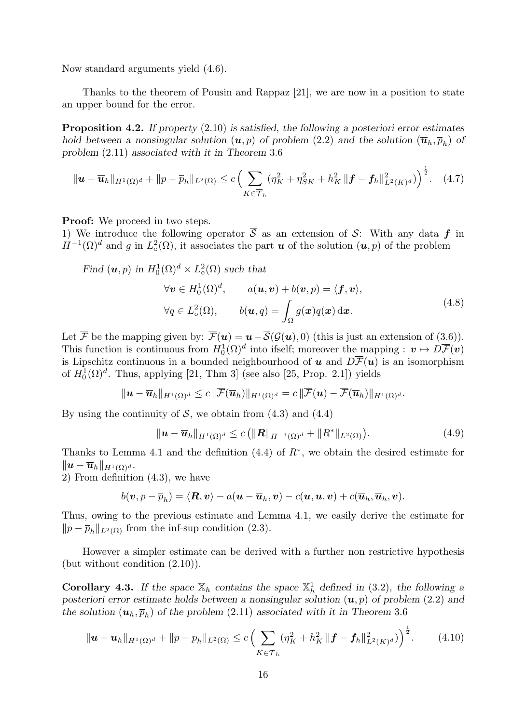Now standard arguments yield (4.6).

Thanks to the theorem of Pousin and Rappaz [21], we are now in a position to state an upper bound for the error.

Proposition 4.2. If property (2.10) is satisfied, the following a posteriori error estimates hold between a nonsingular solution  $(u, p)$  of problem  $(2.2)$  and the solution  $(\overline{u}_h, \overline{p}_h)$  of problem (2.11) associated with it in Theorem 3.6

$$
\|\mathbf{u}-\overline{\mathbf{u}}_h\|_{H^1(\Omega)^d} + \|p-\overline{p}_h\|_{L^2(\Omega)} \le c \left( \sum_{K \in \overline{\mathcal{T}}_h} (\eta_K^2 + \eta_{SK}^2 + h_K^2 \| \mathbf{f} - \mathbf{f}_h\|_{L^2(K)^d}^2) \right)^{\frac{1}{2}}.
$$
 (4.7)

**Proof:** We proceed in two steps.

1) We introduce the following operator  $\overline{S}$  as an extension of S: With any data f in  $H^{-1}(\Omega)^d$  and g in  $L^2_{\circ}(\Omega)$ , it associates the part u of the solution  $(u, p)$  of the problem

Find  $(\boldsymbol{u}, p)$  in  $H_0^1(\Omega)^d \times L^2_{\circ}(\Omega)$  such that

$$
\forall \mathbf{v} \in H_0^1(\Omega)^d, \qquad a(\mathbf{u}, \mathbf{v}) + b(\mathbf{v}, p) = \langle \mathbf{f}, \mathbf{v} \rangle,
$$
  

$$
\forall q \in L_\circ^2(\Omega), \qquad b(\mathbf{u}, q) = \int_\Omega g(\mathbf{x}) q(\mathbf{x}) \, d\mathbf{x}.
$$
 (4.8)

Let  $\overline{\mathcal{F}}$  be the mapping given by:  $\overline{\mathcal{F}}(\boldsymbol{u}) = \boldsymbol{u} - \overline{\mathcal{S}}(\mathcal{G}(\boldsymbol{u}), 0)$  (this is just an extension of (3.6)). This function is continuous from  $H_0^1(\Omega)^d$  into ifself; moreover the mapping :  $v \mapsto D\overline{\mathcal{F}}(v)$ is Lipschitz continuous in a bounded neighbourhood of u and  $D\overline{\mathcal{F}}(u)$  is an isomorphism of  $H_0^1(\Omega)^d$ . Thus, applying [21, Thm 3] (see also [25, Prop. 2.1]) yields

$$
\|\mathbf{u}-\overline{\mathbf{u}}_h\|_{H^1(\Omega)^d}\leq c\,\|\overline{\mathcal{F}}(\overline{\mathbf{u}}_h)\|_{H^1(\Omega)^d}=c\,\|\overline{\mathcal{F}}(\mathbf{u})-\overline{\mathcal{F}}(\overline{\mathbf{u}}_h)\|_{H^1(\Omega)^d}.
$$

By using the continuity of  $\overline{S}$ , we obtain from (4.3) and (4.4)

$$
\|\mathbf{u}-\overline{\mathbf{u}}_h\|_{H^1(\Omega)^d} \le c \left( \|\mathbf{R}\|_{H^{-1}(\Omega)^d} + \|R^*\|_{L^2(\Omega)} \right). \tag{4.9}
$$

Thanks to Lemma 4.1 and the definition  $(4.4)$  of  $R^*$ , we obtain the desired estimate for  $\|\boldsymbol{u} - \overline{\boldsymbol{u}}_h\|_{H^1(\Omega)^d}.$ 

2) From definition (4.3), we have

$$
b(\boldsymbol v, p - \overline{p}_h) = \langle \boldsymbol R, \boldsymbol v \rangle - a(\boldsymbol u - \overline{\boldsymbol u}_h, \boldsymbol v) - c(\boldsymbol u, \boldsymbol u, \boldsymbol v) + c(\overline{\boldsymbol u}_h, \overline{\boldsymbol u}_h, \boldsymbol v).
$$

Thus, owing to the previous estimate and Lemma 4.1, we easily derive the estimate for  $||p - \overline{p}_h||_{L^2(\Omega)}$  from the inf-sup condition (2.3).

However a simpler estimate can be derived with a further non restrictive hypothesis (but without condition (2.10)).

**Corollary 4.3.** If the space  $\mathbb{X}_h$  contains the space  $\mathbb{X}_h^1$  defined in (3.2), the following a posteriori error estimate holds between a nonsingular solution  $(u, p)$  of problem (2.2) and the solution  $(\overline{\mathbf{u}}_h, \overline{p}_h)$  of the problem (2.11) associated with it in Theorem 3.6

$$
\|\mathbf{u}-\overline{\mathbf{u}}_h\|_{H^1(\Omega)^d} + \|p-\overline{p}_h\|_{L^2(\Omega)} \le c \left(\sum_{K\in\overline{\mathcal{T}}_h} (\eta_K^2 + h_K^2 \| \mathbf{f} - \mathbf{f}_h\|_{L^2(K)^d}^2)\right)^{\frac{1}{2}}.
$$
 (4.10)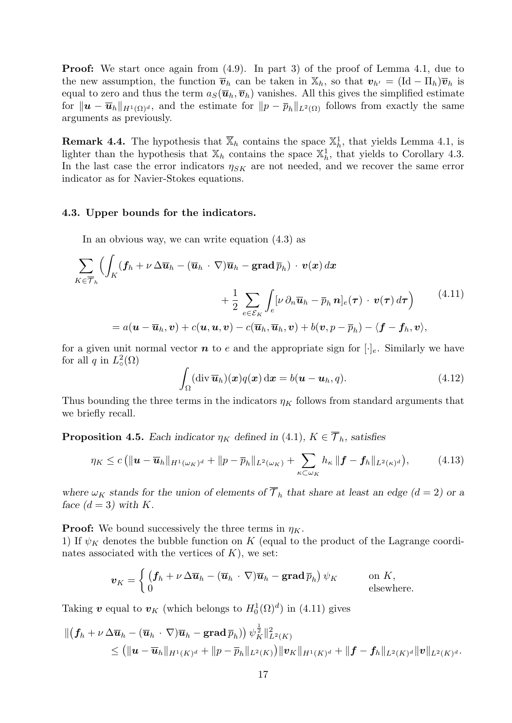**Proof:** We start once again from (4.9). In part 3) of the proof of Lemma 4.1, due to the new assumption, the function  $\overline{v}_h$  can be taken in  $\mathbb{X}_h$ , so that  $v_{h'} = (\text{Id} - \Pi_h)\overline{v}_h$  is equal to zero and thus the term  $a_S(\overline{u}_h, \overline{v}_h)$  vanishes. All this gives the simplified estimate for  $\|\boldsymbol{u} - \overline{\boldsymbol{u}}_h\|_{H^1(\Omega)^d}$ , and the estimate for  $\|p - \overline{p}_h\|_{L^2(\Omega)}$  follows from exactly the same arguments as previously.

**Remark 4.4.** The hypothesis that  $\overline{X}_h$  contains the space  $X_h^1$ , that yields Lemma 4.1, is lighter than the hypothesis that  $\mathbb{X}_h$  contains the space  $\mathbb{X}_h^1$ , that yields to Corollary 4.3. In the last case the error indicators  $\eta_{SK}$  are not needed, and we recover the same error indicator as for Navier-Stokes equations.

## 4.3. Upper bounds for the indicators.

In an obvious way, we can write equation (4.3) as

$$
\sum_{K \in \overline{\mathcal{T}}_h} \Big( \int_K (\mathbf{f}_h + \nu \Delta \overline{\mathbf{u}}_h - (\overline{\mathbf{u}}_h \cdot \nabla) \overline{\mathbf{u}}_h - \mathbf{grad} \overline{p}_h) \cdot \mathbf{v}(\mathbf{x}) d\mathbf{x} \n+ \frac{1}{2} \sum_{e \in \mathcal{E}_K} \int_e [\nu \partial_n \overline{\mathbf{u}}_h - \overline{p}_h \mathbf{n}]_e(\boldsymbol{\tau}) \cdot \mathbf{v}(\boldsymbol{\tau}) d\boldsymbol{\tau} \Big) \n= a(\mathbf{u} - \overline{\mathbf{u}}_h, \mathbf{v}) + c(\mathbf{u}, \mathbf{u}, \mathbf{v}) - c(\overline{\mathbf{u}}_h, \overline{\mathbf{u}}_h, \mathbf{v}) + b(\mathbf{v}, p - \overline{p}_h) - \langle \mathbf{f} - \mathbf{f}_h, \mathbf{v} \rangle,
$$
\n
$$
(4.11)
$$

for a given unit normal vector  $\boldsymbol{n}$  to e and the appropriate sign for  $[\cdot]_e$ . Similarly we have for all q in  $L^2_{\circ}(\Omega)$ 

$$
\int_{\Omega} (\operatorname{div} \overline{\boldsymbol{u}}_h)(\boldsymbol{x}) q(\boldsymbol{x}) \, \mathrm{d}\boldsymbol{x} = b(\boldsymbol{u} - \boldsymbol{u}_h, q). \tag{4.12}
$$

Thus bounding the three terms in the indicators  $\eta_K$  follows from standard arguments that we briefly recall.

**Proposition 4.5.** Each indicator  $\eta_K$  defined in (4.1),  $K \in \overline{\mathcal{T}}_h$ , satisfies

$$
\eta_K \leq c \left( \|\mathbf{u} - \overline{\mathbf{u}}_h\|_{H^1(\omega_K)^d} + \|p - \overline{p}_h\|_{L^2(\omega_K)} + \sum_{\kappa \subset \omega_K} h_\kappa \| \mathbf{f} - \mathbf{f}_h \|_{L^2(\kappa)^d} \right),\tag{4.13}
$$

where  $\omega_K$  stands for the union of elements of  $\overline{\mathcal{T}}_h$  that share at least an edge (d = 2) or a face  $(d = 3)$  with K.

**Proof:** We bound successively the three terms in  $\eta_K$ .

1) If  $\psi_K$  denotes the bubble function on K (equal to the product of the Lagrange coordinates associated with the vertices of  $K$ ), we set:

$$
\boldsymbol{v}_K = \begin{cases} \left( \boldsymbol{f}_h + \nu \, \Delta \overline{\boldsymbol{u}}_h - (\overline{\boldsymbol{u}}_h \, \cdot \, \nabla) \overline{\boldsymbol{u}}_h - \mathbf{grad} \, \overline{p}_h \right) \psi_K & \text{on } K, \\ 0 & \text{elsewhere.} \end{cases}
$$

Taking  $\boldsymbol{v}$  equal to  $\boldsymbol{v}_K$  (which belongs to  $H_0^1(\Omega)^d$ ) in (4.11) gives

$$
\begin{aligned} \Vert \left( \boldsymbol{f}_h + \nu \, \Delta \overline{\boldsymbol{u}}_h - (\overline{\boldsymbol{u}}_h \cdot \nabla) \overline{\boldsymbol{u}}_h - \mathbf{grad} \, \overline{p}_h \right) \right) \psi_K^{\frac{1}{2}} \Vert_{L^2(K)}^2 \\ &\leq \left( \Vert \boldsymbol{u} - \overline{\boldsymbol{u}}_h \Vert_{H^1(K)^d} + \Vert p - \overline{p}_h \Vert_{L^2(K)} \right) \Vert \boldsymbol{v}_K \Vert_{H^1(K)^d} + \Vert \boldsymbol{f} - \boldsymbol{f}_h \Vert_{L^2(K)^d} \Vert \boldsymbol{v} \Vert_{L^2(K)^d} . \end{aligned}
$$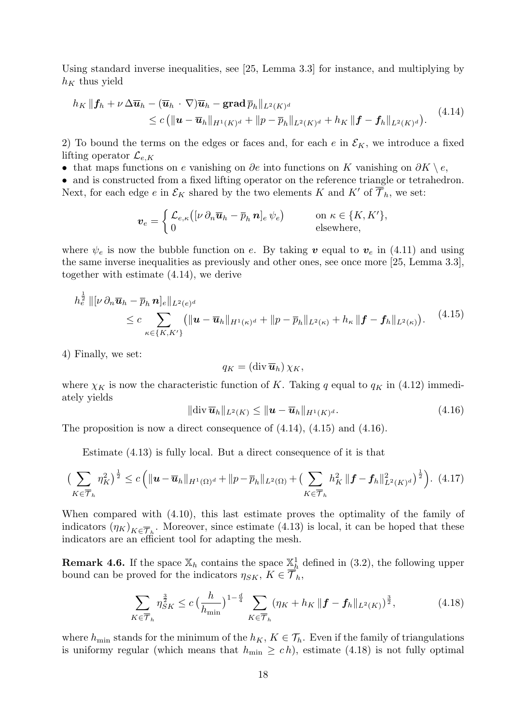Using standard inverse inequalities, see [25, Lemma 3.3] for instance, and multiplying by  $h_K$  thus yield

$$
h_K \|\boldsymbol{f}_h + \nu \Delta \overline{\boldsymbol{u}}_h - (\overline{\boldsymbol{u}}_h \cdot \nabla) \overline{\boldsymbol{u}}_h - \mathbf{grad}\, \overline{p}_h\|_{L^2(K)^d}
$$
  
\$\leq c \left( \|\boldsymbol{u} - \overline{\boldsymbol{u}}\_h\|\_{H^1(K)^d} + \|p - \overline{p}\_h\|\_{L^2(K)^d} + h\_K \|\boldsymbol{f} - \boldsymbol{f}\_h\|\_{L^2(K)^d} \right). \tag{4.14}

2) To bound the terms on the edges or faces and, for each  $e$  in  $\mathcal{E}_K$ , we introduce a fixed lifting operator  $\mathcal{L}_{e,K}$ 

• that maps functions on e vanishing on  $\partial e$  into functions on K vanishing on  $\partial K \setminus e$ ,

• and is constructed from a fixed lifting operator on the reference triangle or tetrahedron. Next, for each edge e in  $\mathcal{E}_K$  shared by the two elements K and K' of  $\overline{\mathcal{T}}_h$ , we set:

$$
\boldsymbol{v}_e = \begin{cases} \mathcal{L}_{e,\kappa}\big([\nu\,\partial_n\overline{\boldsymbol{u}}_h-\overline{p}_h\,\boldsymbol{n}]_e\,\psi_e\big) \qquad &\text{on }\kappa\in\{K,K'\},\\ 0 \qquad &\text{elsewhere,} \end{cases}
$$

where  $\psi_e$  is now the bubble function on e. By taking v equal to  $v_e$  in (4.11) and using the same inverse inequalities as previously and other ones, see once more [25, Lemma 3.3], together with estimate (4.14), we derive

$$
h_e^{\frac{1}{2}} \|\left[\nu \partial_n \overline{\mathbf{u}}_h - \overline{p}_h \mathbf{n}\right]_e\|_{L^2(e)^d} \\ \leq c \sum_{\kappa \in \{K, K'\}} \left( \|\mathbf{u} - \overline{\mathbf{u}}_h\|_{H^1(\kappa)^d} + \|p - \overline{p}_h\|_{L^2(\kappa)} + h_\kappa \|\mathbf{f} - \mathbf{f}_h\|_{L^2(\kappa)} \right). \tag{4.15}
$$

4) Finally, we set:

$$
q_K = (\operatorname{div} \overline{\boldsymbol{u}}_h) \chi_K,
$$

where  $\chi_K$  is now the characteristic function of K. Taking q equal to  $q_K$  in (4.12) immediately yields

$$
\|\text{div}\,\overline{\boldsymbol{u}}_h\|_{L^2(K)} \le \|\boldsymbol{u} - \overline{\boldsymbol{u}}_h\|_{H^1(K)^d}.
$$
\n(4.16)

The proposition is now a direct consequence of  $(4.14)$ ,  $(4.15)$  and  $(4.16)$ .

Estimate (4.13) is fully local. But a direct consequence of it is that

$$
\left(\sum_{K\in\overline{\mathcal{T}}_h} \eta_K^2\right)^{\frac{1}{2}} \le c \left( \|\boldsymbol{u}-\overline{\boldsymbol{u}}_h\|_{H^1(\Omega)^d} + \|p-\overline{p}_h\|_{L^2(\Omega)} + \left(\sum_{K\in\overline{\mathcal{T}}_h} h_K^2 \| \boldsymbol{f}-\boldsymbol{f}_h\|_{L^2(K)^d}^2\right)^{\frac{1}{2}} \right). \tag{4.17}
$$

When compared with (4.10), this last estimate proves the optimality of the family of indicators  $(\eta_K)_{K \in \overline{\mathcal{T}}_h}$ . Moreover, since estimate (4.13) is local, it can be hoped that these indicators are an efficient tool for adapting the mesh.

**Remark 4.6.** If the space  $\mathbb{X}_h$  contains the space  $\underline{\mathbb{X}}_h^1$  defined in (3.2), the following upper bound can be proved for the indicators  $\eta_{SK}$ ,  $K \in \overline{\mathcal{T}}_h$ ,

$$
\sum_{K \in \overline{\mathcal{T}}_h} \eta_{SK}^{\frac{3}{2}} \le c \left( \frac{h}{h_{\min}} \right)^{1 - \frac{d}{4}} \sum_{K \in \overline{\mathcal{T}}_h} (\eta_K + h_K \left\| \mathbf{f} - \mathbf{f}_h \right\|_{L^2(K)})^{\frac{3}{2}}, \tag{4.18}
$$

where  $h_{\min}$  stands for the minimum of the  $h_K$ ,  $K \in \mathcal{T}_h$ . Even if the family of triangulations is uniformy regular (which means that  $h_{\min} \geq c h$ ), estimate (4.18) is not fully optimal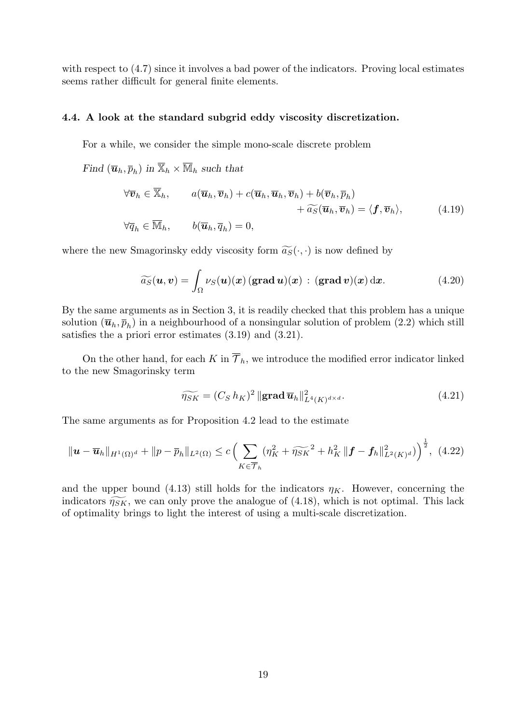with respect to (4.7) since it involves a bad power of the indicators. Proving local estimates seems rather difficult for general finite elements.

# 4.4. A look at the standard subgrid eddy viscosity discretization.

For a while, we consider the simple mono-scale discrete problem

Find  $(\overline{\mathbf{u}}_h, \overline{p}_h)$  in  $\overline{\mathbb{X}}_h \times \overline{\mathbb{M}}_h$  such that

$$
\forall \overline{\boldsymbol{v}}_h \in \overline{\mathbb{X}}_h, \qquad a(\overline{\boldsymbol{u}}_h, \overline{\boldsymbol{v}}_h) + c(\overline{\boldsymbol{u}}_h, \overline{\boldsymbol{u}}_h, \overline{\boldsymbol{v}}_h) + b(\overline{\boldsymbol{v}}_h, \overline{p}_h) + \widetilde{a_S}(\overline{\boldsymbol{u}}_h, \overline{\boldsymbol{v}}_h) = \langle \boldsymbol{f}, \overline{\boldsymbol{v}}_h \rangle, \qquad (4.19)
$$

$$
\forall \overline{q}_h \in \overline{\mathbb{M}}_h, \qquad b(\overline{\boldsymbol{u}}_h, \overline{q}_h) = 0,
$$

where the new Smagorinsky eddy viscosity form  $\widetilde{a_S}(\cdot, \cdot)$  is now defined by

$$
\widetilde{a_S}(u,v) = \int_{\Omega} \nu_S(u)(x) \left(\text{grad } u\right)(x) : \left(\text{grad } v\right)(x) \, \mathrm{d}x. \tag{4.20}
$$

By the same arguments as in Section 3, it is readily checked that this problem has a unique solution  $(\overline{u}_h, \overline{p}_h)$  in a neighbourhood of a nonsingular solution of problem  $(2.2)$  which still satisfies the a priori error estimates (3.19) and (3.21).

On the other hand, for each K in  $\overline{\mathcal{T}}_h$ , we introduce the modified error indicator linked to the new Smagorinsky term

$$
\widetilde{\eta_{SK}} = (C_S h_K)^2 \|\mathbf{grad}\,\overline{\boldsymbol{u}}_h\|_{L^4(K)^{d \times d}}^2.
$$
\n(4.21)

The same arguments as for Proposition 4.2 lead to the estimate

$$
\|\mathbf{u}-\overline{\mathbf{u}}_h\|_{H^1(\Omega)^d} + \|p-\overline{p}_h\|_{L^2(\Omega)} \le c \Big(\sum_{K \in \overline{\mathcal{T}}_h} (\eta_K^2 + \widetilde{\eta_{SK}}^2 + h_K^2 \| \mathbf{f} - \mathbf{f}_h\|_{L^2(K)^d}^2)\Big)^{\frac{1}{2}}, \tag{4.22}
$$

and the upper bound (4.13) still holds for the indicators  $\eta_K$ . However, concerning the indicators  $\widetilde{\eta_{SK}}$ , we can only prove the analogue of (4.18), which is not optimal. This lack of optimality brings to light the interest of using a multi-scale discretization.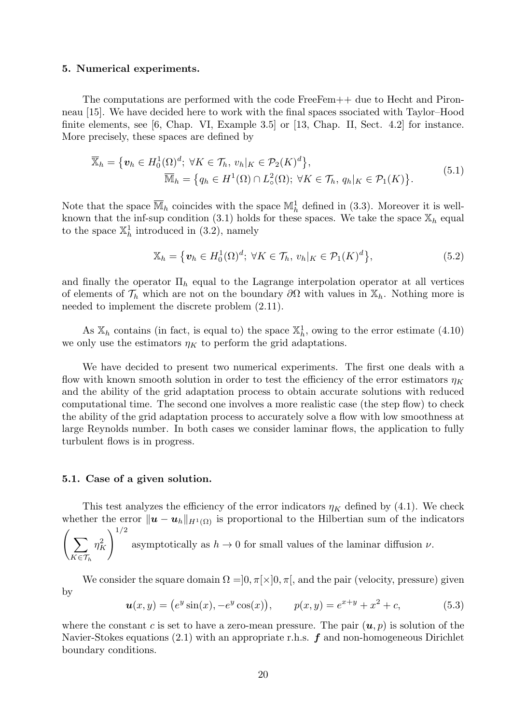#### 5. Numerical experiments.

The computations are performed with the code FreeFem++ due to Hecht and Pironneau [15]. We have decided here to work with the final spaces ssociated with Taylor–Hood finite elements, see [6, Chap. VI, Example 3.5] or [13, Chap. II, Sect. 4.2] for instance. More precisely, these spaces are defined by

$$
\overline{\mathbb{X}}_h = \{ \boldsymbol{v}_h \in H_0^1(\Omega)^d; \ \forall K \in \mathcal{T}_h, \ v_h|_K \in \mathcal{P}_2(K)^d \},\
$$
\n
$$
\overline{\mathbb{M}}_h = \{ q_h \in H^1(\Omega) \cap L_\circ^2(\Omega); \ \forall K \in \mathcal{T}_h, \ q_h|_K \in \mathcal{P}_1(K) \}.
$$
\n
$$
(5.1)
$$

Note that the space  $\overline{\mathbb{M}}_h$  coincides with the space  $\mathbb{M}_h^1$  defined in (3.3). Moreover it is wellknown that the inf-sup condition (3.1) holds for these spaces. We take the space  $\mathbb{X}_h$  equal to the space  $\mathbb{X}_h^1$  introduced in (3.2), namely

$$
\mathbb{X}_h = \left\{ \boldsymbol{v}_h \in H_0^1(\Omega)^d; \ \forall K \in \mathcal{T}_h, \ v_h|_K \in \mathcal{P}_1(K)^d \right\},\tag{5.2}
$$

and finally the operator  $\Pi_h$  equal to the Lagrange interpolation operator at all vertices of elements of  $\mathcal{T}_h$  which are not on the boundary  $\partial\Omega$  with values in  $\mathbb{X}_h$ . Nothing more is needed to implement the discrete problem (2.11).

As  $\mathbb{X}_h$  contains (in fact, is equal to) the space  $\mathbb{X}_h^1$ , owing to the error estimate (4.10) we only use the estimators  $\eta_K$  to perform the grid adaptations.

We have decided to present two numerical experiments. The first one deals with a flow with known smooth solution in order to test the efficiency of the error estimators  $\eta_K$ and the ability of the grid adaptation process to obtain accurate solutions with reduced computational time. The second one involves a more realistic case (the step flow) to check the ability of the grid adaptation process to accurately solve a flow with low smoothness at large Reynolds number. In both cases we consider laminar flows, the application to fully turbulent flows is in progress.

#### 5.1. Case of a given solution.

This test analyzes the efficiency of the error indicators  $\eta_K$  defined by (4.1). We check whether the error  $\|\boldsymbol{u} - \boldsymbol{u}_h\|_{H^1(\Omega)}$  is proportional to the Hilbertian sum of the indicators  $\sqrt{1/2}$ 

$$
\left(\sum_{K\in\mathcal{T}_h} \eta_K^2\right)^{1/2}
$$
 asymptotically as  $h \to 0$  for small values of the laminar diffusion  $\nu$ .

We consider the square domain  $\Omega = ]0, \pi[\times]0, \pi[$ , and the pair (velocity, pressure) given by

$$
\mathbf{u}(x,y) = (e^y \sin(x), -e^y \cos(x)), \qquad p(x,y) = e^{x+y} + x^2 + c,\tag{5.3}
$$

where the constant c is set to have a zero-mean pressure. The pair  $(u, p)$  is solution of the Navier-Stokes equations  $(2.1)$  with an appropriate r.h.s.  $f$  and non-homogeneous Dirichlet boundary conditions.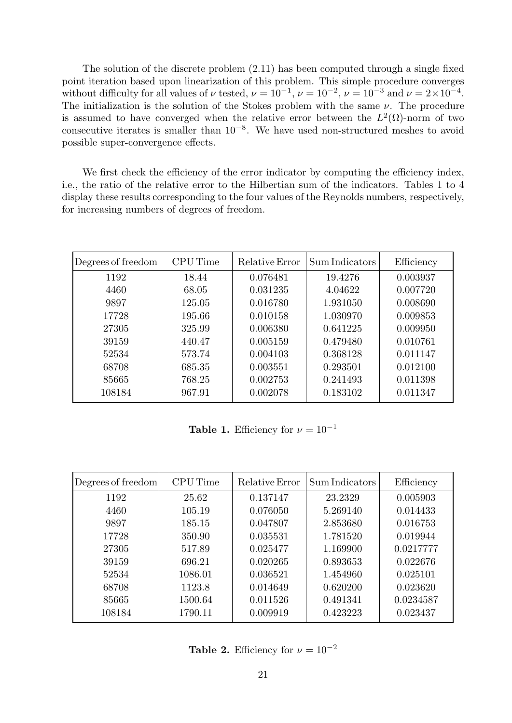The solution of the discrete problem (2.11) has been computed through a single fixed point iteration based upon linearization of this problem. This simple procedure converges without difficulty for all values of  $\nu$  tested,  $\nu = 10^{-1}$ ,  $\nu = 10^{-2}$ ,  $\nu = 10^{-3}$  and  $\nu = 2 \times 10^{-4}$ . The initialization is the solution of the Stokes problem with the same  $\nu$ . The procedure is assumed to have converged when the relative error between the  $L^2(\Omega)$ -norm of two consecutive iterates is smaller than  $10^{-8}$ . We have used non-structured meshes to avoid possible super-convergence effects.

We first check the efficiency of the error indicator by computing the efficiency index, i.e., the ratio of the relative error to the Hilbertian sum of the indicators. Tables 1 to 4 display these results corresponding to the four values of the Reynolds numbers, respectively, for increasing numbers of degrees of freedom.

| Degrees of freedom | <b>CPU</b> Time | Relative Error | Sum Indicators | Efficiency |
|--------------------|-----------------|----------------|----------------|------------|
| 1192               | 18.44           | 0.076481       | 19.4276        | 0.003937   |
| 4460               | 68.05           | 0.031235       | 4.04622        | 0.007720   |
| 9897               | 125.05          | 0.016780       | 1.931050       | 0.008690   |
| 17728              | 195.66          | 0.010158       | 1.030970       | 0.009853   |
| 27305              | 325.99          | 0.006380       | 0.641225       | 0.009950   |
| 39159              | 440.47          | 0.005159       | 0.479480       | 0.010761   |
| 52534              | 573.74          | 0.004103       | 0.368128       | 0.011147   |
| 68708              | 685.35          | 0.003551       | 0.293501       | 0.012100   |
| 85665              | 768.25          | 0.002753       | 0.241493       | 0.011398   |
| 108184             | 967.91          | 0.002078       | 0.183102       | 0.011347   |

**Table 1.** Efficiency for  $\nu = 10^{-1}$ 

| Degrees of freedom | <b>CPU</b> Time | Relative Error | Sum Indicators | Efficiency |
|--------------------|-----------------|----------------|----------------|------------|
| 1192               | 25.62           | 0.137147       | 23.2329        | 0.005903   |
| 4460               | 105.19          | 0.076050       | 5.269140       | 0.014433   |
| 9897               | 185.15          | 0.047807       | 2.853680       | 0.016753   |
| 17728              | 350.90          | 0.035531       | 1.781520       | 0.019944   |
| 27305              | 517.89          | 0.025477       | 1.169900       | 0.0217777  |
| 39159              | 696.21          | 0.020265       | 0.893653       | 0.022676   |
| 52534              | 1086.01         | 0.036521       | 1.454960       | 0.025101   |
| 68708              | 1123.8          | 0.014649       | 0.620200       | 0.023620   |
| 85665              | 1500.64         | 0.011526       | 0.491341       | 0.0234587  |
| 108184             | 1790.11         | 0.009919       | 0.423223       | 0.023437   |

**Table 2.** Efficiency for  $\nu = 10^{-2}$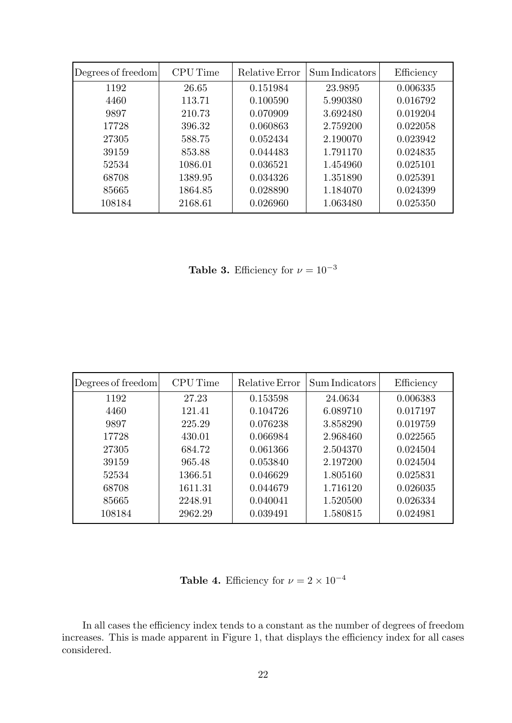| Degrees of freedom | <b>CPU</b> Time | Relative Error | Sum Indicators | Efficiency |
|--------------------|-----------------|----------------|----------------|------------|
| 1192               | 26.65           | 0.151984       | 23.9895        | 0.006335   |
| 4460               | 113.71          | 0.100590       | 5.990380       | 0.016792   |
| 9897               | 210.73          | 0.070909       | 3.692480       | 0.019204   |
| 17728              | 396.32          | 0.060863       | 2.759200       | 0.022058   |
| 27305              | 588.75          | 0.052434       | 2.190070       | 0.023942   |
| 39159              | 853.88          | 0.044483       | 1.791170       | 0.024835   |
| 52534              | 1086.01         | 0.036521       | 1.454960       | 0.025101   |
| 68708              | 1389.95         | 0.034326       | 1.351890       | 0.025391   |
| 85665              | 1864.85         | 0.028890       | 1.184070       | 0.024399   |
| 108184             | 2168.61         | 0.026960       | 1.063480       | 0.025350   |

Table 3. Efficiency for  $\nu = 10^{-3}$ 

| Degrees of freedom | <b>CPU</b> Time | Relative Error | Sum Indicators | Efficiency |
|--------------------|-----------------|----------------|----------------|------------|
| 1192               | 27.23           | 0.153598       | 24.0634        | 0.006383   |
| 4460               | 121.41          | 0.104726       | 6.089710       | 0.017197   |
| 9897               | 225.29          | 0.076238       | 3.858290       | 0.019759   |
| 17728              | 430.01          | 0.066984       | 2.968460       | 0.022565   |
| 27305              | 684.72          | 0.061366       | 2.504370       | 0.024504   |
| 39159              | 965.48          | 0.053840       | 2.197200       | 0.024504   |
| 52534              | 1366.51         | 0.046629       | 1.805160       | 0.025831   |
| 68708              | 1611.31         | 0.044679       | 1.716120       | 0.026035   |
| 85665              | 2248.91         | 0.040041       | 1.520500       | 0.026334   |
| 108184             | 2962.29         | 0.039491       | 1.580815       | 0.024981   |

Table 4. Efficiency for  $\nu = 2 \times 10^{-4}$ 

In all cases the efficiency index tends to a constant as the number of degrees of freedom increases. This is made apparent in Figure 1, that displays the efficiency index for all cases considered.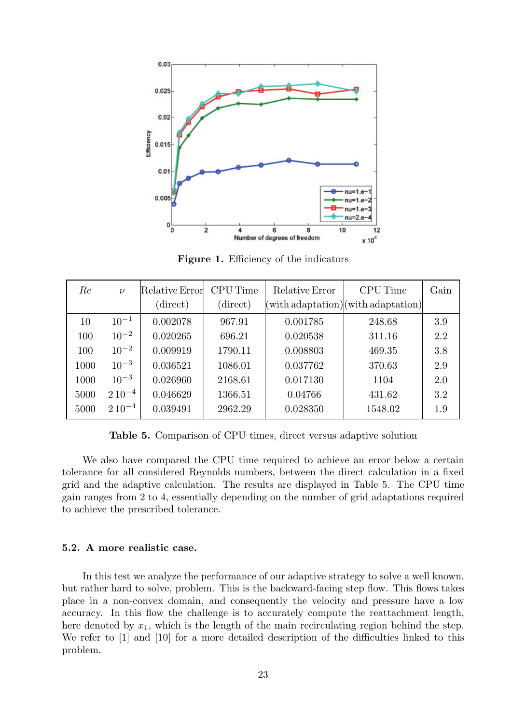

Figure 1. Efficiency of the indicators

| Re   | $\nu$        | Relative Error<br>(direct) | <b>CPU</b> Time<br>(direct) | Relative Error | <b>CPU</b> Time<br>$\ $ with adaptation $\ $ with adaptation $\ $ | Gain |
|------|--------------|----------------------------|-----------------------------|----------------|-------------------------------------------------------------------|------|
| 10   | $10^{-1}$    | 0.002078                   | 967.91                      | 0.001785       | 248.68                                                            | 3.9  |
| 100  | $10^{-2}$    | 0.020265                   | 696.21                      | 0.020538       | 311.16                                                            | 2.2  |
| 100  | $10^{-2}$    | 0.009919                   | 1790.11                     | 0.008803       | 469.35                                                            | 3.8  |
| 1000 | $10^{-3}$    | 0.036521                   | 1086.01                     | 0.037762       | 370.63                                                            | 2.9  |
| 1000 | $10^{-3}$    | 0.026960                   | 2168.61                     | 0.017130       | 1104                                                              | 2.0  |
| 5000 | $2\,10^{-4}$ | 0.046629                   | 1366.51                     | 0.04766        | 431.62                                                            | 3.2  |
| 5000 | $2\,10^{-4}$ | 0.039491                   | 2962.29                     | 0.028350       | 1548.02                                                           | 1.9  |

Table 5. Comparison of CPU times, direct versus adaptive solution

We also have compared the CPU time required to achieve an error below a certain tolerance for all considered Reynolds numbers, between the direct calculation in a fixed grid and the adaptive calculation. The results are displayed in Table 5. The CPU time gain ranges from 2 to 4, essentially depending on the number of grid adaptations required to achieve the prescribed tolerance.

# 5.2. A more realistic case.

In this test we analyze the performance of our adaptive strategy to solve a well known, but rather hard to solve, problem. This is the backward-facing step flow. This flows takes place in a non-convex domain, and consequently the velocity and pressure have a low accuracy. In this flow the challenge is to accurately compute the reattachment length, here denoted by  $x_1$ , which is the length of the main recirculating region behind the step. We refer to [1] and [10] for a more detailed description of the difficulties linked to this problem.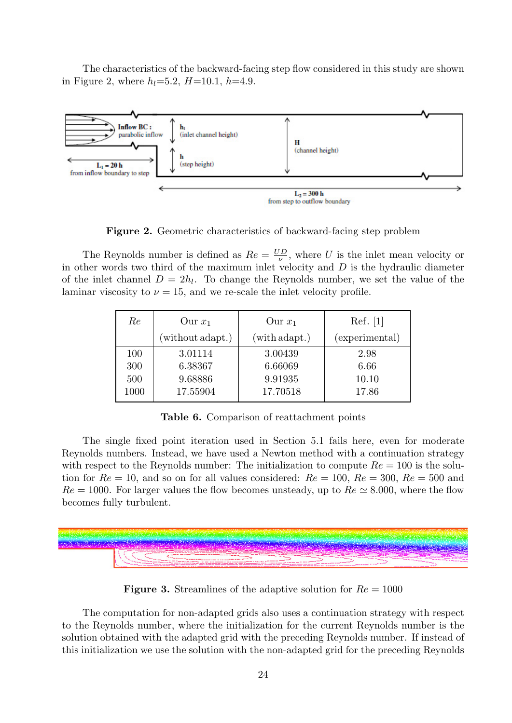The characteristics of the backward-facing step flow considered in this study are shown in Figure 2, where  $h_l = 5.2$ ,  $H = 10.1$ ,  $h = 4.9$ .



Figure 2. Geometric characteristics of backward-facing step problem

The Reynolds number is defined as  $Re = \frac{UD}{\mu}$  $\frac{y}{y}$ , where U is the inlet mean velocity or in other words two third of the maximum inlet velocity and  $D$  is the hydraulic diameter of the inlet channel  $D = 2h_l$ . To change the Reynolds number, we set the value of the laminar viscosity to  $\nu = 15$ , and we re-scale the inlet velocity profile.

| Re   | Our $x_1$        | Our $x_1$     | $\operatorname{Ref.} [1]$ |
|------|------------------|---------------|---------------------------|
|      | (without adapt.) | (with adapt.) | (experimental)            |
| 100  | 3.01114          | 3.00439       | 2.98                      |
| 300  | 6.38367          | 6.66069       | 6.66                      |
| 500  | 9.68886          | 9.91935       | 10.10                     |
| 1000 | 17.55904         | 17.70518      | 17.86                     |

Table 6. Comparison of reattachment points

The single fixed point iteration used in Section 5.1 fails here, even for moderate Reynolds numbers. Instead, we have used a Newton method with a continuation strategy with respect to the Reynolds number: The initialization to compute  $Re = 100$  is the solution for  $Re = 10$ , and so on for all values considered:  $Re = 100$ ,  $Re = 300$ ,  $Re = 500$  and  $Re = 1000$ . For larger values the flow becomes unsteady, up to  $Re \simeq 8.000$ , where the flow becomes fully turbulent.



**Figure 3.** Streamlines of the adaptive solution for  $Re = 1000$ 

The computation for non-adapted grids also uses a continuation strategy with respect to the Reynolds number, where the initialization for the current Reynolds number is the solution obtained with the adapted grid with the preceding Reynolds number. If instead of this initialization we use the solution with the non-adapted grid for the preceding Reynolds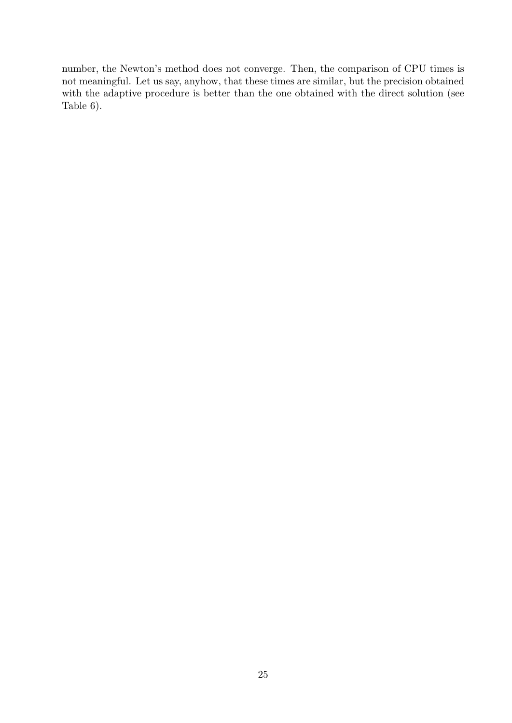number, the Newton's method does not converge. Then, the comparison of CPU times is not meaningful. Let us say, anyhow, that these times are similar, but the precision obtained with the adaptive procedure is better than the one obtained with the direct solution (see Table 6).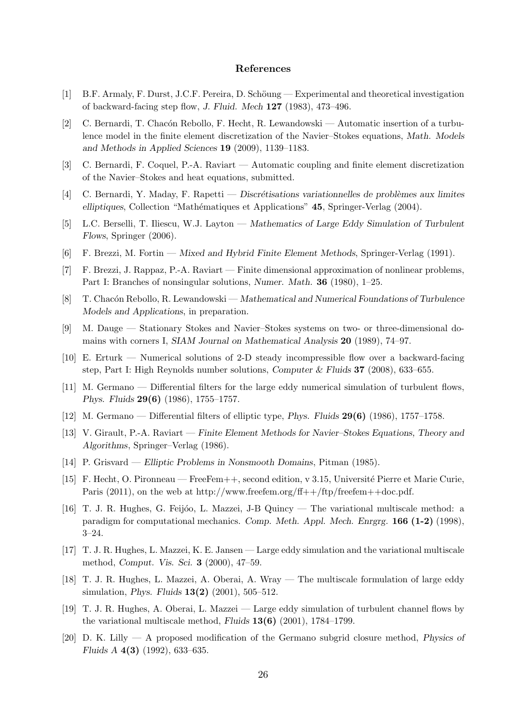#### References

- [1] B.F. Armaly, F. Durst, J.C.F. Pereira, D. Schöung Experimental and theoretical investigation of backward-facing step flow, J. Fluid. Mech 127 (1983), 473–496.
- [2] C. Bernardi, T. Chacón Rebollo, F. Hecht, R. Lewandowski Automatic insertion of a turbulence model in the finite element discretization of the Navier–Stokes equations, Math. Models and Methods in Applied Sciences 19 (2009), 1139–1183.
- [3] C. Bernardi, F. Coquel, P.-A. Raviart Automatic coupling and finite element discretization of the Navier–Stokes and heat equations, submitted.
- [4] C. Bernardi, Y. Maday, F. Rapetti Discrétisations variationnelles de problèmes aux limites elliptiques, Collection "Mathématiques et Applications" 45, Springer-Verlag (2004).
- [5] L.C. Berselli, T. Iliescu, W.J. Layton Mathematics of Large Eddy Simulation of Turbulent Flows, Springer (2006).
- [6] F. Brezzi, M. Fortin Mixed and Hybrid Finite Element Methods, Springer-Verlag (1991).
- [7] F. Brezzi, J. Rappaz, P.-A. Raviart Finite dimensional approximation of nonlinear problems, Part I: Branches of nonsingular solutions, Numer. Math. 36 (1980), 1–25.
- [8] T. Chacón Rebollo, R. Lewandowski Mathematical and Numerical Foundations of Turbulence Models and Applications, in preparation.
- [9] M. Dauge Stationary Stokes and Navier–Stokes systems on two- or three-dimensional domains with corners I, SIAM Journal on Mathematical Analysis 20 (1989), 74–97.
- [10] E. Erturk Numerical solutions of 2-D steady incompressible flow over a backward-facing step, Part I: High Reynolds number solutions, Computer & Fluids 37 (2008), 633–655.
- [11] M. Germano Differential filters for the large eddy numerical simulation of turbulent flows, Phys. Fluids 29(6) (1986), 1755–1757.
- [12] M. Germano Differential filters of elliptic type, Phys. Fluids 29(6) (1986), 1757–1758.
- [13] V. Girault, P.-A. Raviart Finite Element Methods for Navier–Stokes Equations, Theory and Algorithms, Springer–Verlag (1986).
- [14] P. Grisvard Elliptic Problems in Nonsmooth Domains, Pitman (1985).
- [15] F. Hecht, O. Pironneau FreeFem++, second edition, v 3.15, Universit´e Pierre et Marie Curie, Paris (2011), on the web at http://www.freefem.org/ff++/ftp/freefem++doc.pdf.
- [16] T. J. R. Hughes, G. Feijóo, L. Mazzei, J-B Quincy The variational multiscale method: a paradigm for computational mechanics. Comp. Meth. Appl. Mech. Enrgrg. 166 (1-2) (1998), 3–24.
- [17] T. J. R. Hughes, L. Mazzei, K. E. Jansen Large eddy simulation and the variational multiscale method, Comput. Vis. Sci. 3 (2000), 47–59.
- [18] T. J. R. Hughes, L. Mazzei, A. Oberai, A. Wray The multiscale formulation of large eddy simulation, Phys. Fluids 13(2) (2001), 505–512.
- [19] T. J. R. Hughes, A. Oberai, L. Mazzei Large eddy simulation of turbulent channel flows by the variational multiscale method, Fluids  $13(6)$  (2001), 1784–1799.
- [20] D. K. Lilly A proposed modification of the Germano subgrid closure method, Physics of Fluids A 4(3) (1992), 633–635.